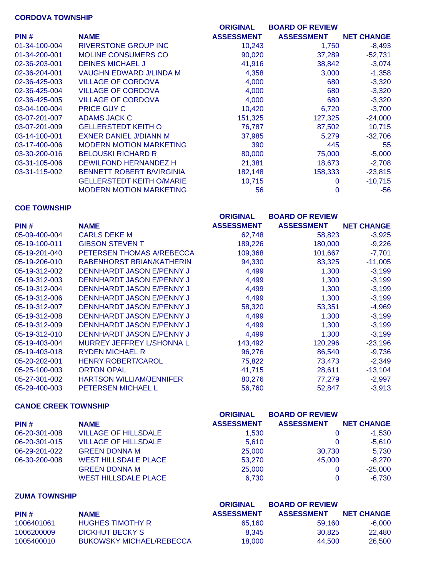## **CORDOVA TOWNSHIP**

|               |                                  | <b>ORIGINAL</b>   | <b>BOARD OF REVIEW</b> |                   |
|---------------|----------------------------------|-------------------|------------------------|-------------------|
| PIN#          | <b>NAME</b>                      | <b>ASSESSMENT</b> | <b>ASSESSMENT</b>      | <b>NET CHANGE</b> |
| 01-34-100-004 | <b>RIVERSTONE GROUP INC</b>      | 10,243            | 1,750                  | $-8,493$          |
| 01-34-200-001 | <b>MOLINE CONSUMERS CO</b>       | 90,020            | 37,289                 | $-52,731$         |
| 02-36-203-001 | <b>DEINES MICHAEL J</b>          | 41,916            | 38,842                 | $-3,074$          |
| 02-36-204-001 | VAUGHN EDWARD J/LINDA M          | 4,358             | 3,000                  | $-1,358$          |
| 02-36-425-003 | <b>VILLAGE OF CORDOVA</b>        | 4,000             | 680                    | $-3,320$          |
| 02-36-425-004 | <b>VILLAGE OF CORDOVA</b>        | 4,000             | 680                    | $-3,320$          |
| 02-36-425-005 | <b>VILLAGE OF CORDOVA</b>        | 4,000             | 680                    | $-3,320$          |
| 03-04-100-004 | <b>PRICE GUY C</b>               | 10,420            | 6,720                  | $-3,700$          |
| 03-07-201-007 | ADAMS JACK C                     | 151,325           | 127,325                | $-24,000$         |
| 03-07-201-009 | <b>GELLERSTEDT KEITH O</b>       | 76,787            | 87,502                 | 10,715            |
| 03-14-100-001 | <b>EXNER DANIEL J/DIANN M</b>    | 37,985            | 5,279                  | $-32,706$         |
| 03-17-400-006 | <b>MODERN MOTION MARKETING</b>   | 390               | 445                    | 55                |
| 03-30-200-016 | <b>BELOUSKI RICHARD R</b>        | 80,000            | 75,000                 | $-5,000$          |
| 03-31-105-006 | DEWILFOND HERNANDEZ H            | 21,381            | 18,673                 | $-2,708$          |
| 03-31-115-002 | <b>BENNETT ROBERT B/VIRGINIA</b> | 182,148           | 158,333                | $-23,815$         |
|               | <b>GELLERSTEDT KEITH O/MARIE</b> | 10,715            |                        | $-10,715$         |
|               | <b>MODERN MOTION MARKETING</b>   | 56                | 0                      | $-56$             |

#### **COE TOWNSHIP**

|               |                                 | <b>ORIGINAL</b>   | <b>BOARD OF REVIEW</b> |                   |
|---------------|---------------------------------|-------------------|------------------------|-------------------|
| PIN#          | <b>NAME</b>                     | <b>ASSESSMENT</b> | <b>ASSESSMENT</b>      | <b>NET CHANGE</b> |
| 05-09-400-004 | <b>CARLS DEKE M</b>             | 62,748            | 58,823                 | $-3,925$          |
| 05-19-100-011 | <b>GIBSON STEVEN T</b>          | 189,226           | 180,000                | $-9,226$          |
| 05-19-201-040 | PETERSEN THOMAS A/REBECCA       | 109,368           | 101,667                | $-7,701$          |
| 05-19-206-010 | RABENHORST BRIAN/KATHERIN       | 94,330            | 83,325                 | $-11,005$         |
| 05-19-312-002 | DENNHARDT JASON E/PENNY J       | 4,499             | 1,300                  | $-3,199$          |
| 05-19-312-003 | DENNHARDT JASON E/PENNY J       | 4,499             | 1,300                  | $-3,199$          |
| 05-19-312-004 | DENNHARDT JASON E/PENNY J       | 4,499             | 1,300                  | $-3,199$          |
| 05-19-312-006 | DENNHARDT JASON E/PENNY J       | 4,499             | 1,300                  | $-3,199$          |
| 05-19-312-007 | DENNHARDT JASON E/PENNY J       | 58,320            | 53,351                 | $-4,969$          |
| 05-19-312-008 | DENNHARDT JASON E/PENNY J       | 4,499             | 1,300                  | $-3,199$          |
| 05-19-312-009 | DENNHARDT JASON E/PENNY J       | 4,499             | 1,300                  | $-3,199$          |
| 05-19-312-010 | DENNHARDT JASON E/PENNY J       | 4,499             | 1,300                  | $-3,199$          |
| 05-19-403-004 | MURREY JEFFREY L/SHONNA L       | 143,492           | 120,296                | $-23,196$         |
| 05-19-403-018 | <b>RYDEN MICHAEL R</b>          | 96,276            | 86,540                 | $-9,736$          |
| 05-20-202-001 | <b>HENRY ROBERT/CAROL</b>       | 75,822            | 73,473                 | $-2,349$          |
| 05-25-100-003 | <b>ORTON OPAL</b>               | 41,715            | 28,611                 | $-13,104$         |
| 05-27-301-002 | <b>HARTSON WILLIAM/JENNIFER</b> | 80,276            | 77,279                 | $-2,997$          |
| 05-29-400-003 | <b>PETERSEN MICHAEL L</b>       | 56,760            | 52,847                 | $-3,913$          |

## **CANOE CREEK TOWNSHIP**

|               |                             | <b>ORIGINAL</b>   | <b>BOARD OF REVIEW</b> |                   |
|---------------|-----------------------------|-------------------|------------------------|-------------------|
| PIN#          | <b>NAME</b>                 | <b>ASSESSMENT</b> | <b>ASSESSMENT</b>      | <b>NET CHANGE</b> |
| 06-20-301-008 | <b>VILLAGE OF HILLSDALE</b> | 1,530             |                        | $-1,530$          |
| 06-20-301-015 | <b>VILLAGE OF HILLSDALE</b> | 5.610             | $\Omega$               | $-5,610$          |
| 06-29-201-022 | <b>GREEN DONNA M</b>        | 25,000            | 30.730                 | 5,730             |
| 06-30-200-008 | <b>WEST HILLSDALE PLACE</b> | 53,270            | 45,000                 | $-8,270$          |
|               | <b>GREEN DONNA M</b>        | 25,000            |                        | $-25,000$         |
|               | <b>WEST HILLSDALE PLACE</b> | 6.730             | 0                      | $-6,730$          |

### **ZUMA TOWNSHIP**

|            |                                 | <b>ORIGINAL</b>   | <b>BOARD OF REVIEW</b> |                   |
|------------|---------------------------------|-------------------|------------------------|-------------------|
| PIN#       | <b>NAME</b>                     | <b>ASSESSMENT</b> | <b>ASSESSMENT</b>      | <b>NET CHANGE</b> |
| 1006401061 | <b>HUGHES TIMOTHY R</b>         | 65.160            | 59.160                 | $-6.000$          |
| 1006200009 | DICKHUT BECKY S                 | 8.345             | 30.825                 | 22,480            |
| 1005400010 | <b>BUKOWSKY MICHAEL/REBECCA</b> | 18,000            | 44.500                 | 26,500            |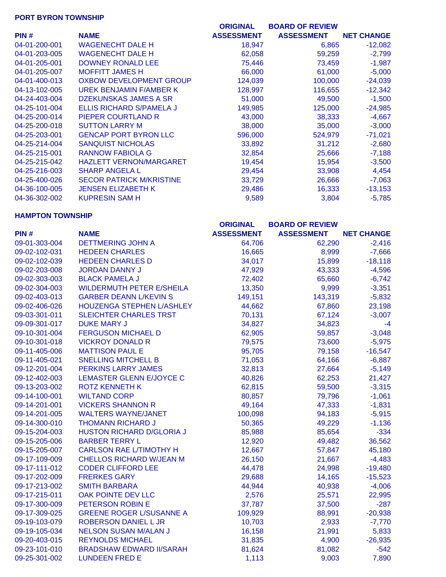## **PORT BYRON TOWNSHIP**

|               |                                 | <b>ORIGINAL</b>   | <b>BOARD OF REVIEW</b> |                   |
|---------------|---------------------------------|-------------------|------------------------|-------------------|
| PIN#          | <b>NAME</b>                     | <b>ASSESSMENT</b> | <b>ASSESSMENT</b>      | <b>NET CHANGE</b> |
| 04-01-200-001 | <b>WAGENECHT DALE H</b>         | 18,947            | 6,865                  | $-12,082$         |
| 04-01-203-005 | <b>WAGENECHT DALE H</b>         | 62,058            | 59,259                 | $-2,799$          |
| 04-01-205-001 | <b>DOWNEY RONALD LEE</b>        | 75,446            | 73,459                 | $-1,987$          |
| 04-01-205-007 | <b>MOFFITT JAMES H</b>          | 66,000            | 61,000                 | $-5,000$          |
| 04-01-400-013 | OXBOW DEVELOPMENT GROUP         | 124,039           | 100,000                | $-24,039$         |
| 04-13-102-005 | UREK BENJAMIN F/AMBER K         | 128,997           | 116,655                | $-12,342$         |
| 04-24-403-004 | DZEKUNSKAS JAMES A SR           | 51,000            | 49,500                 | $-1,500$          |
| 04-25-101-004 | ELLIS RICHARD S/PAMELA J        | 149,985           | 125,000                | $-24,985$         |
| 04-25-200-014 | PIEPER COURTLAND R              | 43,000            | 38,333                 | $-4,667$          |
| 04-25-200-018 | <b>SUTTON LARRY M</b>           | 38,000            | 35,000                 | $-3,000$          |
| 04-25-203-001 | <b>GENCAP PORT BYRON LLC</b>    | 596,000           | 524,979                | $-71,021$         |
| 04-25-214-004 | <b>SANQUIST NICHOLAS</b>        | 33,892            | 31,212                 | $-2,680$          |
| 04-25-215-001 | <b>RANNOW FABIOLA G</b>         | 32,854            | 25,666                 | $-7,188$          |
| 04-25-215-042 | <b>HAZLETT VERNON/MARGARET</b>  | 19,454            | 15,954                 | $-3,500$          |
| 04-25-216-003 | <b>SHARP ANGELA L</b>           | 29,454            | 33,908                 | 4,454             |
| 04-25-400-026 | <b>SECOR PATRICK M/KRISTINE</b> | 33,729            | 26,666                 | $-7,063$          |
| 04-36-100-005 | <b>JENSEN ELIZABETH K</b>       | 29,486            | 16,333                 | $-13,153$         |
| 04-36-302-002 | <b>KUPRESIN SAM H</b>           | 9,589             | 3,804                  | $-5,785$          |

#### **HAMPTON TOWNSHIP**

|               |                                  | <b>ORIGINAL</b>   | <b>BOARD OF REVIEW</b> |                   |
|---------------|----------------------------------|-------------------|------------------------|-------------------|
| PIN#          | <b>NAME</b>                      | <b>ASSESSMENT</b> | <b>ASSESSMENT</b>      | <b>NET CHANGE</b> |
| 09-01-303-004 | <b>DETTMERING JOHN A</b>         | 64,706            | 62,290                 | $-2,416$          |
| 09-02-102-031 | <b>HEDEEN CHARLES</b>            | 16,665            | 8,999                  | $-7,666$          |
| 09-02-102-039 | <b>HEDEEN CHARLES D</b>          | 34,017            | 15,899                 | $-18,118$         |
| 09-02-203-008 | <b>JORDAN DANNY J</b>            | 47,929            | 43,333                 | $-4,596$          |
| 09-02-303-003 | <b>BLACK PAMELA J</b>            | 72,402            | 65,660                 | $-6,742$          |
| 09-02-304-003 | <b>WILDERMUTH PETER E/SHEILA</b> | 13,350            | 9,999                  | $-3,351$          |
| 09-02-403-013 | <b>GARBER DEANN L/KEVIN S</b>    | 149,151           | 143,319                | $-5,832$          |
| 09-02-406-026 | HOUZENGA STEPHEN L/ASHLEY        | 44,662            | 67,860                 | 23,198            |
| 09-03-301-011 | <b>SLEICHTER CHARLES TRST</b>    | 70,131            | 67,124                 | $-3,007$          |
| 09-09-301-017 | <b>DUKE MARY J</b>               | 34,827            | 34,823                 | $-4$              |
| 09-10-301-004 | <b>FERGUSON MICHAEL D</b>        | 62,905            | 59,857                 | $-3,048$          |
| 09-10-301-018 | <b>VICKROY DONALD R</b>          | 79,575            | 73,600                 | $-5,975$          |
| 09-11-405-006 | <b>MATTISON PAUL E</b>           | 95,705            | 79,158                 | $-16,547$         |
| 09-11-405-021 | <b>SNELLING MITCHELL B</b>       | 71,053            | 64,166                 | $-6,887$          |
| 09-12-201-004 | PERKINS LARRY JAMES              | 32,813            | 27,664                 | $-5,149$          |
| 09-12-402-003 | <b>LEMASTER GLENN E/JOYCE C</b>  | 40,826            | 62,253                 | 21,427            |
| 09-13-203-002 | <b>ROTZ KENNETH K</b>            | 62,815            | 59,500                 | $-3,315$          |
| 09-14-100-001 | <b>WILTAND CORP</b>              | 80,857            | 79,796                 | $-1,061$          |
| 09-14-201-001 | <b>VICKERS SHANNON R</b>         | 49,164            | 47,333                 | $-1,831$          |
| 09-14-201-005 | <b>WALTERS WAYNE/JANET</b>       | 100,098           | 94,183                 | $-5,915$          |
| 09-14-300-010 | <b>THOMANN RICHARD J</b>         | 50,365            | 49,229                 | $-1,136$          |
| 09-15-204-003 | <b>HUSTON RICHARD D/GLORIA J</b> | 85,988            | 85,654                 | $-334$            |
| 09-15-205-006 | <b>BARBER TERRY L</b>            | 12,920            | 49,482                 | 36,562            |
| 09-15-205-007 | <b>CARLSON RAE L/TIMOTHY H</b>   | 12,667            | 57,847                 | 45,180            |
| 09-17-109-009 | <b>CHELLOS RICHARD W/JEAN M</b>  | 26,150            | 21,667                 | $-4,483$          |
| 09-17-111-012 | <b>CODER CLIFFORD LEE</b>        | 44,478            | 24,998                 | $-19,480$         |
| 09-17-202-009 | <b>FRERKES GARY</b>              | 29,688            | 14,165                 | $-15,523$         |
| 09-17-213-002 | <b>SMITH BARBARA</b>             | 44,944            | 40,938                 | $-4,006$          |
| 09-17-215-011 | OAK POINTE DEV LLC               | 2,576             | 25,571                 | 22,995            |
| 09-17-300-009 | PETERSON ROBIN E                 | 37,787            | 37,500                 | $-287$            |
| 09-17-309-025 | <b>GREENE ROGER L/SUSANNE A</b>  | 109,929           | 88,991                 | $-20,938$         |
| 09-19-103-079 | ROBERSON DANIEL L JR             | 10,703            | 2,933                  | $-7,770$          |
| 09-19-105-034 | <b>NELSON SUSAN M/ALAN J</b>     | 16,158            | 21,991                 | 5,833             |
| 09-20-403-015 | <b>REYNOLDS MICHAEL</b>          | 31,835            | 4,900                  | $-26,935$         |
| 09-23-101-010 | <b>BRADSHAW EDWARD II/SARAH</b>  | 81,624            | 81,082                 | $-542$            |
| 09-25-301-002 | <b>LUNDEEN FRED E</b>            | 1,113             | 9,003                  | 7,890             |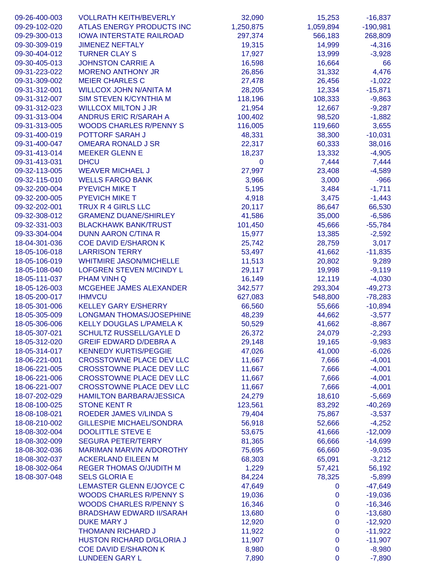| 09-26-400-003                  | <b>VOLLRATH KEITH/BEVERLY</b>   | 32,090           | 15,253       | $-16,837$  |
|--------------------------------|---------------------------------|------------------|--------------|------------|
| 09-29-102-020                  | ATLAS ENERGY PRODUCTS INC       | 1,250,875        | 1,059,894    | $-190,981$ |
| 09-29-300-013                  | <b>IOWA INTERSTATE RAILROAD</b> | 297,374          | 566,183      | 268,809    |
| 09-30-309-019                  | <b>JIMENEZ NEFTALY</b>          | 19,315           | 14,999       | $-4,316$   |
| 09-30-404-012                  | <b>TURNER CLAY S</b>            | 17,927           | 13,999       | $-3,928$   |
| 09-30-405-013                  | <b>JOHNSTON CARRIE A</b>        | 16,598           | 16,664       | 66         |
| 09-31-223-022                  | <b>MORENO ANTHONY JR</b>        | 26,856           | 31,332       | 4,476      |
| 09-31-309-002                  | <b>MEIER CHARLES C</b>          | 27,478           | 26,456       | $-1,022$   |
| 09-31-312-001                  | <b>WILLCOX JOHN N/ANITA M</b>   | 28,205           | 12,334       | $-15,871$  |
| 09-31-312-007                  | SIM STEVEN K/CYNTHIA M          | 118,196          | 108,333      | $-9,863$   |
| 09-31-312-023                  | <b>WILLCOX MILTON J JR</b>      | 21,954           | 12,667       | $-9,287$   |
| 09-31-313-004                  | <b>ANDRUS ERIC R/SARAH A</b>    | 100,402          | 98,520       | $-1,882$   |
| 09-31-313-005                  | <b>WOODS CHARLES R/PENNY S</b>  | 116,005          | 119,660      | 3,655      |
| 09-31-400-019                  | POTTORF SARAH J                 | 48,331           | 38,300       | $-10,031$  |
| 09-31-400-047                  | <b>OMEARA RONALD J SR</b>       | 22,317           | 60,333       | 38,016     |
| 09-31-413-014                  | <b>MEEKER GLENN E</b>           | 18,237           | 13,332       | $-4,905$   |
| 09-31-413-031                  | <b>DHCU</b>                     | 0                | 7,444        | 7,444      |
| 09-32-113-005                  | <b>WEAVER MICHAEL J</b>         | 27,997           | 23,408       | $-4,589$   |
| 09-32-115-010                  | <b>WELLS FARGO BANK</b>         | 3,966            | 3,000        | $-966$     |
| 09-32-200-004                  | <b>PYEVICH MIKE T</b>           | 5,195            | 3,484        | $-1,711$   |
| 09-32-200-005                  | <b>PYEVICH MIKE T</b>           | 4,918            | 3,475        | $-1,443$   |
| 09-32-202-001                  | <b>TRUX R 4 GIRLS LLC</b>       | 20,117           | 86,647       | 66,530     |
| 09-32-308-012                  | <b>GRAMENZ DUANE/SHIRLEY</b>    | 41,586           | 35,000       | $-6,586$   |
| 09-32-331-003                  | <b>BLACKHAWK BANK/TRUST</b>     | 101,450          | 45,666       | $-55,784$  |
| 09-33-304-004                  | <b>DUNN AARON C/TINA R</b>      | 15,977           | 13,385       | $-2,592$   |
| 18-04-301-036                  | <b>COE DAVID E/SHARON K</b>     | 25,742           | 28,759       | 3,017      |
| 18-05-106-018                  | <b>LARRISON TERRY</b>           | 53,497           | 41,662       | $-11,835$  |
| 18-05-106-019                  | <b>WHITMIRE JASON/MICHELLE</b>  | 11,513           | 20,802       | 9,289      |
| 18-05-108-040                  | LOFGREN STEVEN M/CINDY L        | 29,117           | 19,998       | $-9,119$   |
| 18-05-111-037                  | PHAM VINH Q                     | 16,149           | 12,119       | $-4,030$   |
| 18-05-126-003                  | MCGEHEE JAMES ALEXANDER         | 342,577          | 293,304      | $-49,273$  |
| 18-05-200-017                  | <b>IHMVCU</b>                   | 627,083          |              | $-78,283$  |
|                                | <b>KELLEY GARY E/SHERRY</b>     | 66,560           | 548,800      |            |
| 18-05-301-006                  |                                 |                  | 55,666       | $-10,894$  |
| 18-05-305-009<br>18-05-306-006 | <b>LONGMAN THOMAS/JOSEPHINE</b> | 48,239           | 44,662       | $-3,577$   |
|                                | <b>KELLY DOUGLAS L/PAMELA K</b> | 50,529<br>26,372 | 41,662       | $-8,867$   |
| 18-05-307-021                  | <b>SCHULTZ RUSSELL/GAYLE D</b>  |                  | 24,079       | $-2,293$   |
| 18-05-312-020                  | <b>GREIF EDWARD D/DEBRA A</b>   | 29,148           | 19,165       | $-9,983$   |
| 18-05-314-017                  | <b>KENNEDY KURTIS/PEGGIE</b>    | 47,026           | 41,000       | $-6,026$   |
| 18-06-221-001                  | <b>CROSSTOWNE PLACE DEV LLC</b> | 11,667           | 7,666        | $-4,001$   |
| 18-06-221-005                  | <b>CROSSTOWNE PLACE DEV LLC</b> | 11,667           | 7,666        | $-4,001$   |
| 18-06-221-006                  | <b>CROSSTOWNE PLACE DEV LLC</b> | 11,667           | 7,666        | $-4,001$   |
| 18-06-221-007                  | <b>CROSSTOWNE PLACE DEV LLC</b> | 11,667           | 7,666        | $-4,001$   |
| 18-07-202-029                  | <b>HAMILTON BARBARA/JESSICA</b> | 24,279           | 18,610       | $-5,669$   |
| 18-08-100-025                  | <b>STONE KENT R</b>             | 123,561          | 83,292       | $-40,269$  |
| 18-08-108-021                  | ROEDER JAMES V/LINDA S          | 79,404           | 75,867       | $-3,537$   |
| 18-08-210-002                  | <b>GILLESPIE MICHAEL/SONDRA</b> | 56,918           | 52,666       | $-4,252$   |
| 18-08-302-004                  | <b>DOOLITTLE STEVE E</b>        | 53,675           | 41,666       | $-12,009$  |
| 18-08-302-009                  | <b>SEGURA PETER/TERRY</b>       | 81,365           | 66,666       | $-14,699$  |
| 18-08-302-036                  | <b>MARIMAN MARVIN A/DOROTHY</b> | 75,695           | 66,660       | $-9,035$   |
| 18-08-302-037                  | <b>ACKERLAND EILEEN M</b>       | 68,303           | 65,091       | $-3,212$   |
| 18-08-302-064                  | <b>REGER THOMAS O/JUDITH M</b>  | 1,229            | 57,421       | 56,192     |
| 18-08-307-048                  | <b>SELS GLORIA E</b>            | 84,224           | 78,325       | $-5,899$   |
|                                | LEMASTER GLENN E/JOYCE C        | 47,649           | 0            | $-47,649$  |
|                                | <b>WOODS CHARLES R/PENNY S</b>  | 19,036           | $\mathbf 0$  | $-19,036$  |
|                                | <b>WOODS CHARLES R/PENNY S</b>  | 16,346           | $\mathbf{0}$ | $-16,346$  |
|                                | <b>BRADSHAW EDWARD II/SARAH</b> | 13,680           | $\mathbf 0$  | $-13,680$  |
|                                | <b>DUKE MARY J</b>              | 12,920           | $\mathbf 0$  | $-12,920$  |
|                                | <b>THOMANN RICHARD J</b>        | 11,922           | $\mathbf 0$  | $-11,922$  |
|                                | HUSTON RICHARD D/GLORIA J       | 11,907           | $\mathbf 0$  | $-11,907$  |
|                                | <b>COE DAVID E/SHARON K</b>     | 8,980            | 0            | $-8,980$   |
|                                | <b>LUNDEEN GARY L</b>           | 7,890            | $\mathbf 0$  | $-7,890$   |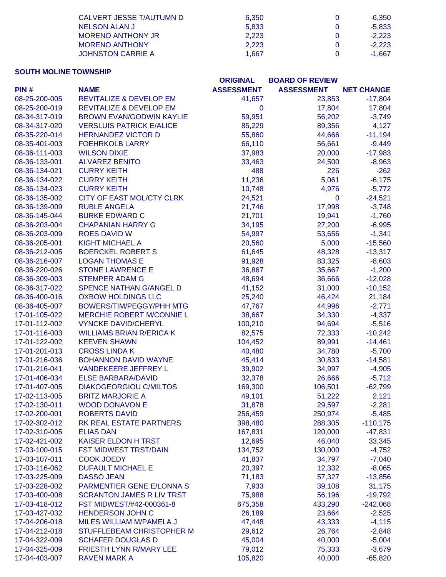| CALVERT JESSE T/AUTUMN D | 6.350 | -6.350   |
|--------------------------|-------|----------|
| NELSON ALAN J            | 5.833 | $-5.833$ |
| <b>MORENO ANTHONY JR</b> | 2.223 | $-2.223$ |
| <b>MORENO ANTHONY</b>    | 2.223 | $-2.223$ |
| <b>JOHNSTON CARRIE A</b> | 1.667 | $-1.667$ |

## **SOUTH MOLINE TOWNSHIP**

| <b>ASSESSMENT</b><br><b>ASSESSMENT</b><br>PIN#<br><b>NAME</b><br><b>NET CHANGE</b><br>08-25-200-005<br><b>REVITALIZE &amp; DEVELOP EM</b><br>41,657<br>23,853<br>$-17,804$<br><b>REVITALIZE &amp; DEVELOP EM</b><br>08-25-200-019<br>$\mathbf 0$<br>17,804<br>17,804<br>56,202<br>08-34-317-019<br><b>BROWN EVAN/GODWIN KAYLIE</b><br>59,951<br>$-3,749$<br>85,229<br>4,127<br>08-34-317-020<br><b>VERSLUIS PATRICK E/ALICE</b><br>89,356<br>08-35-220-014<br><b>HERNANDEZ VICTOR D</b><br>55,860<br>44,666<br>$-11,194$<br>08-35-401-003<br><b>FOEHRKOLB LARRY</b><br>66,110<br>56,661<br>$-9,449$<br>08-36-111-003<br><b>WILSON DIXIE</b><br>37,983<br>20,000<br>$-17,983$<br>08-36-133-001<br><b>ALVAREZ BENITO</b><br>33,463<br>24,500<br>$-8,963$<br>08-36-134-021<br><b>CURRY KEITH</b><br>488<br>226<br>$-262$<br>11,236<br>5,061<br>$-6,175$<br>08-36-134-022<br><b>CURRY KEITH</b><br>08-36-134-023<br><b>CURRY KEITH</b><br>10,748<br>4,976<br>$-5,772$<br>08-36-135-002<br>CITY OF EAST MOL/CTY CLRK<br>24,521<br>$-24,521$<br>$\mathbf 0$<br><b>RUBLE ANGELA</b><br>21,746<br>17,998<br>$-3,748$<br>08-36-139-009<br>08-36-145-044<br><b>BURKE EDWARD C</b><br>21,701<br>19,941<br>$-1,760$<br>08-36-203-004<br><b>CHAPANIAN HARRY G</b><br>34,195<br>27,200<br>$-6,995$<br>$-1,341$<br>08-36-203-009<br><b>ROES DAVID W</b><br>54,997<br>53,656<br>$-15,560$<br>08-36-205-001<br><b>KIGHT MICHAEL A</b><br>20,560<br>5,000<br>61,645<br>08-36-212-005<br><b>BOERCKEL ROBERT S</b><br>48,328<br>$-13,317$<br>08-36-216-007<br><b>LOGAN THOMAS E</b><br>91,928<br>83,325<br>$-8,603$<br><b>STONE LAWRENCE E</b><br>36,867<br>35,667<br>$-1,200$<br>08-36-220-026<br>08-36-309-003<br><b>STEMPER ADAM G</b><br>48,694<br>36,666<br>$-12,028$<br>08-36-317-022<br>SPENCE NATHAN G/ANGEL D<br>41,152<br>31,000<br>$-10,152$<br>08-36-400-016<br><b>OXBOW HOLDINGS LLC</b><br>25,240<br>46,424<br>21,184<br><b>BOWERS/TIM/PEGGY/PHH MTG</b><br>47,767<br>44,996<br>$-2,771$<br>08-36-405-007<br><b>MERCHIE ROBERT M/CONNIE L</b><br>38,667<br>34,330<br>$-4,337$<br>17-01-105-022<br>17-01-112-002<br><b>VYNCKE DAVID/CHERYL</b><br>100,210<br>94,694<br>$-5,516$<br>17-01-116-003<br><b>WILLIAMS BRIAN R/ERICA K</b><br>82,575<br>72,333<br>$-10,242$<br>$-14,461$<br>17-01-122-002<br><b>KEEVEN SHAWN</b><br>104,452<br>89,991<br>40,480<br>34,780<br>17-01-201-013<br><b>CROSS LINDA K</b><br>$-5,700$<br>17-01-216-036<br><b>BOHANNON DAVID WAYNE</b><br>45,414<br>30,833<br>$-14,581$<br>39,902<br>34,997<br>17-01-216-041<br><b>VANDEKEERE JEFFREY L</b><br>$-4,905$<br>32,378<br>17-01-406-034<br><b>ELSE BARBARA/DAVID</b><br>26,666<br>$-5,712$<br>169,300<br>$-62,799$<br>17-01-407-005<br><b>DIAKOGEORGIOU C/MILTOS</b><br>106,501<br>17-02-113-005<br><b>BRITZ MARJORIE A</b><br>49,101<br>51,222<br>2,121<br>$-2,281$<br>17-02-130-011<br>31,878<br>29,597<br><b>WOOD DONAVON E</b><br><b>ROBERTS DAVID</b><br>17-02-200-001<br>256,459<br>250,974<br>$-5,485$<br>17-02-302-012<br>RK REAL ESTATE PARTNERS<br>398,480<br>288,305<br>$-110,175$<br>$-47,831$<br>17-02-310-005<br><b>ELIAS DAN</b><br>167,831<br>120,000<br>17-02-421-002<br><b>KAISER ELDON H TRST</b><br>46,040<br>33,345<br>12,695<br><b>FST MIDWEST TRST/DAIN</b><br>134,752<br>130,000<br>17-03-100-015<br>$-4,752$<br><b>COOK JOEDY</b><br>41,837<br>34,797<br>$-7,040$<br>17-03-107-011<br><b>DUFAULT MICHAEL E</b><br>20,397<br>12,332<br>$-8,065$<br>17-03-116-062<br><b>DASSO JEAN</b><br>71,183<br>57,327<br>$-13,856$<br>17-03-225-009<br>PARMENTIER GENE E/LONNA S<br>7,933<br>39,108<br>31,175<br>17-03-228-002<br><b>SCRANTON JAMES R LIV TRST</b><br>75,988<br>56,196<br>17-03-400-008<br>$-19,792$<br>FST MIDWEST/#42-000361-8<br>675,358<br>433,290<br>$-242,068$<br>17-03-418-012<br><b>HENDERSON JOHN C</b><br>26,189<br>23,664<br>17-03-427-032<br>$-2,525$<br>MILES WILLIAM M/PAMELA J<br>47,448<br>43,333<br>17-04-206-018<br>$-4,115$<br>17-04-212-018<br>STUFFLEBEAM CHRISTOPHER M<br>29,612<br>26,764<br>$-2,848$<br>17-04-322-009<br><b>SCHAFER DOUGLAS D</b><br>45,004<br>40,000<br>$-5,004$<br>17-04-325-009<br>FRIESTH LYNN R/MARY LEE<br>79,012<br>75,333<br>$-3,679$<br>17-04-403-007<br><b>RAVEN MARK A</b><br>105,820<br>40,000<br>$-65,820$ |  | <b>ORIGINAL</b> | <b>BOARD OF REVIEW</b> |  |
|------------------------------------------------------------------------------------------------------------------------------------------------------------------------------------------------------------------------------------------------------------------------------------------------------------------------------------------------------------------------------------------------------------------------------------------------------------------------------------------------------------------------------------------------------------------------------------------------------------------------------------------------------------------------------------------------------------------------------------------------------------------------------------------------------------------------------------------------------------------------------------------------------------------------------------------------------------------------------------------------------------------------------------------------------------------------------------------------------------------------------------------------------------------------------------------------------------------------------------------------------------------------------------------------------------------------------------------------------------------------------------------------------------------------------------------------------------------------------------------------------------------------------------------------------------------------------------------------------------------------------------------------------------------------------------------------------------------------------------------------------------------------------------------------------------------------------------------------------------------------------------------------------------------------------------------------------------------------------------------------------------------------------------------------------------------------------------------------------------------------------------------------------------------------------------------------------------------------------------------------------------------------------------------------------------------------------------------------------------------------------------------------------------------------------------------------------------------------------------------------------------------------------------------------------------------------------------------------------------------------------------------------------------------------------------------------------------------------------------------------------------------------------------------------------------------------------------------------------------------------------------------------------------------------------------------------------------------------------------------------------------------------------------------------------------------------------------------------------------------------------------------------------------------------------------------------------------------------------------------------------------------------------------------------------------------------------------------------------------------------------------------------------------------------------------------------------------------------------------------------------------------------------------------------------------------------------------------------------------------------------------------------------------------------------------------------------------------------------------------------------------------------------------------------------------------------------------------------------------------------------------------------------------------------------------------------------------------------------------------------------------------------------------------------------------------------------------------------------------------------------------------------------------------------------------------------------------------------------------------------------------------|--|-----------------|------------------------|--|
|                                                                                                                                                                                                                                                                                                                                                                                                                                                                                                                                                                                                                                                                                                                                                                                                                                                                                                                                                                                                                                                                                                                                                                                                                                                                                                                                                                                                                                                                                                                                                                                                                                                                                                                                                                                                                                                                                                                                                                                                                                                                                                                                                                                                                                                                                                                                                                                                                                                                                                                                                                                                                                                                                                                                                                                                                                                                                                                                                                                                                                                                                                                                                                                                                                                                                                                                                                                                                                                                                                                                                                                                                                                                                                                                                                                                                                                                                                                                                                                                                                                                                                                                                                                                                                                                  |  |                 |                        |  |
|                                                                                                                                                                                                                                                                                                                                                                                                                                                                                                                                                                                                                                                                                                                                                                                                                                                                                                                                                                                                                                                                                                                                                                                                                                                                                                                                                                                                                                                                                                                                                                                                                                                                                                                                                                                                                                                                                                                                                                                                                                                                                                                                                                                                                                                                                                                                                                                                                                                                                                                                                                                                                                                                                                                                                                                                                                                                                                                                                                                                                                                                                                                                                                                                                                                                                                                                                                                                                                                                                                                                                                                                                                                                                                                                                                                                                                                                                                                                                                                                                                                                                                                                                                                                                                                                  |  |                 |                        |  |
|                                                                                                                                                                                                                                                                                                                                                                                                                                                                                                                                                                                                                                                                                                                                                                                                                                                                                                                                                                                                                                                                                                                                                                                                                                                                                                                                                                                                                                                                                                                                                                                                                                                                                                                                                                                                                                                                                                                                                                                                                                                                                                                                                                                                                                                                                                                                                                                                                                                                                                                                                                                                                                                                                                                                                                                                                                                                                                                                                                                                                                                                                                                                                                                                                                                                                                                                                                                                                                                                                                                                                                                                                                                                                                                                                                                                                                                                                                                                                                                                                                                                                                                                                                                                                                                                  |  |                 |                        |  |
|                                                                                                                                                                                                                                                                                                                                                                                                                                                                                                                                                                                                                                                                                                                                                                                                                                                                                                                                                                                                                                                                                                                                                                                                                                                                                                                                                                                                                                                                                                                                                                                                                                                                                                                                                                                                                                                                                                                                                                                                                                                                                                                                                                                                                                                                                                                                                                                                                                                                                                                                                                                                                                                                                                                                                                                                                                                                                                                                                                                                                                                                                                                                                                                                                                                                                                                                                                                                                                                                                                                                                                                                                                                                                                                                                                                                                                                                                                                                                                                                                                                                                                                                                                                                                                                                  |  |                 |                        |  |
|                                                                                                                                                                                                                                                                                                                                                                                                                                                                                                                                                                                                                                                                                                                                                                                                                                                                                                                                                                                                                                                                                                                                                                                                                                                                                                                                                                                                                                                                                                                                                                                                                                                                                                                                                                                                                                                                                                                                                                                                                                                                                                                                                                                                                                                                                                                                                                                                                                                                                                                                                                                                                                                                                                                                                                                                                                                                                                                                                                                                                                                                                                                                                                                                                                                                                                                                                                                                                                                                                                                                                                                                                                                                                                                                                                                                                                                                                                                                                                                                                                                                                                                                                                                                                                                                  |  |                 |                        |  |
|                                                                                                                                                                                                                                                                                                                                                                                                                                                                                                                                                                                                                                                                                                                                                                                                                                                                                                                                                                                                                                                                                                                                                                                                                                                                                                                                                                                                                                                                                                                                                                                                                                                                                                                                                                                                                                                                                                                                                                                                                                                                                                                                                                                                                                                                                                                                                                                                                                                                                                                                                                                                                                                                                                                                                                                                                                                                                                                                                                                                                                                                                                                                                                                                                                                                                                                                                                                                                                                                                                                                                                                                                                                                                                                                                                                                                                                                                                                                                                                                                                                                                                                                                                                                                                                                  |  |                 |                        |  |
|                                                                                                                                                                                                                                                                                                                                                                                                                                                                                                                                                                                                                                                                                                                                                                                                                                                                                                                                                                                                                                                                                                                                                                                                                                                                                                                                                                                                                                                                                                                                                                                                                                                                                                                                                                                                                                                                                                                                                                                                                                                                                                                                                                                                                                                                                                                                                                                                                                                                                                                                                                                                                                                                                                                                                                                                                                                                                                                                                                                                                                                                                                                                                                                                                                                                                                                                                                                                                                                                                                                                                                                                                                                                                                                                                                                                                                                                                                                                                                                                                                                                                                                                                                                                                                                                  |  |                 |                        |  |
|                                                                                                                                                                                                                                                                                                                                                                                                                                                                                                                                                                                                                                                                                                                                                                                                                                                                                                                                                                                                                                                                                                                                                                                                                                                                                                                                                                                                                                                                                                                                                                                                                                                                                                                                                                                                                                                                                                                                                                                                                                                                                                                                                                                                                                                                                                                                                                                                                                                                                                                                                                                                                                                                                                                                                                                                                                                                                                                                                                                                                                                                                                                                                                                                                                                                                                                                                                                                                                                                                                                                                                                                                                                                                                                                                                                                                                                                                                                                                                                                                                                                                                                                                                                                                                                                  |  |                 |                        |  |
|                                                                                                                                                                                                                                                                                                                                                                                                                                                                                                                                                                                                                                                                                                                                                                                                                                                                                                                                                                                                                                                                                                                                                                                                                                                                                                                                                                                                                                                                                                                                                                                                                                                                                                                                                                                                                                                                                                                                                                                                                                                                                                                                                                                                                                                                                                                                                                                                                                                                                                                                                                                                                                                                                                                                                                                                                                                                                                                                                                                                                                                                                                                                                                                                                                                                                                                                                                                                                                                                                                                                                                                                                                                                                                                                                                                                                                                                                                                                                                                                                                                                                                                                                                                                                                                                  |  |                 |                        |  |
|                                                                                                                                                                                                                                                                                                                                                                                                                                                                                                                                                                                                                                                                                                                                                                                                                                                                                                                                                                                                                                                                                                                                                                                                                                                                                                                                                                                                                                                                                                                                                                                                                                                                                                                                                                                                                                                                                                                                                                                                                                                                                                                                                                                                                                                                                                                                                                                                                                                                                                                                                                                                                                                                                                                                                                                                                                                                                                                                                                                                                                                                                                                                                                                                                                                                                                                                                                                                                                                                                                                                                                                                                                                                                                                                                                                                                                                                                                                                                                                                                                                                                                                                                                                                                                                                  |  |                 |                        |  |
|                                                                                                                                                                                                                                                                                                                                                                                                                                                                                                                                                                                                                                                                                                                                                                                                                                                                                                                                                                                                                                                                                                                                                                                                                                                                                                                                                                                                                                                                                                                                                                                                                                                                                                                                                                                                                                                                                                                                                                                                                                                                                                                                                                                                                                                                                                                                                                                                                                                                                                                                                                                                                                                                                                                                                                                                                                                                                                                                                                                                                                                                                                                                                                                                                                                                                                                                                                                                                                                                                                                                                                                                                                                                                                                                                                                                                                                                                                                                                                                                                                                                                                                                                                                                                                                                  |  |                 |                        |  |
|                                                                                                                                                                                                                                                                                                                                                                                                                                                                                                                                                                                                                                                                                                                                                                                                                                                                                                                                                                                                                                                                                                                                                                                                                                                                                                                                                                                                                                                                                                                                                                                                                                                                                                                                                                                                                                                                                                                                                                                                                                                                                                                                                                                                                                                                                                                                                                                                                                                                                                                                                                                                                                                                                                                                                                                                                                                                                                                                                                                                                                                                                                                                                                                                                                                                                                                                                                                                                                                                                                                                                                                                                                                                                                                                                                                                                                                                                                                                                                                                                                                                                                                                                                                                                                                                  |  |                 |                        |  |
|                                                                                                                                                                                                                                                                                                                                                                                                                                                                                                                                                                                                                                                                                                                                                                                                                                                                                                                                                                                                                                                                                                                                                                                                                                                                                                                                                                                                                                                                                                                                                                                                                                                                                                                                                                                                                                                                                                                                                                                                                                                                                                                                                                                                                                                                                                                                                                                                                                                                                                                                                                                                                                                                                                                                                                                                                                                                                                                                                                                                                                                                                                                                                                                                                                                                                                                                                                                                                                                                                                                                                                                                                                                                                                                                                                                                                                                                                                                                                                                                                                                                                                                                                                                                                                                                  |  |                 |                        |  |
|                                                                                                                                                                                                                                                                                                                                                                                                                                                                                                                                                                                                                                                                                                                                                                                                                                                                                                                                                                                                                                                                                                                                                                                                                                                                                                                                                                                                                                                                                                                                                                                                                                                                                                                                                                                                                                                                                                                                                                                                                                                                                                                                                                                                                                                                                                                                                                                                                                                                                                                                                                                                                                                                                                                                                                                                                                                                                                                                                                                                                                                                                                                                                                                                                                                                                                                                                                                                                                                                                                                                                                                                                                                                                                                                                                                                                                                                                                                                                                                                                                                                                                                                                                                                                                                                  |  |                 |                        |  |
|                                                                                                                                                                                                                                                                                                                                                                                                                                                                                                                                                                                                                                                                                                                                                                                                                                                                                                                                                                                                                                                                                                                                                                                                                                                                                                                                                                                                                                                                                                                                                                                                                                                                                                                                                                                                                                                                                                                                                                                                                                                                                                                                                                                                                                                                                                                                                                                                                                                                                                                                                                                                                                                                                                                                                                                                                                                                                                                                                                                                                                                                                                                                                                                                                                                                                                                                                                                                                                                                                                                                                                                                                                                                                                                                                                                                                                                                                                                                                                                                                                                                                                                                                                                                                                                                  |  |                 |                        |  |
|                                                                                                                                                                                                                                                                                                                                                                                                                                                                                                                                                                                                                                                                                                                                                                                                                                                                                                                                                                                                                                                                                                                                                                                                                                                                                                                                                                                                                                                                                                                                                                                                                                                                                                                                                                                                                                                                                                                                                                                                                                                                                                                                                                                                                                                                                                                                                                                                                                                                                                                                                                                                                                                                                                                                                                                                                                                                                                                                                                                                                                                                                                                                                                                                                                                                                                                                                                                                                                                                                                                                                                                                                                                                                                                                                                                                                                                                                                                                                                                                                                                                                                                                                                                                                                                                  |  |                 |                        |  |
|                                                                                                                                                                                                                                                                                                                                                                                                                                                                                                                                                                                                                                                                                                                                                                                                                                                                                                                                                                                                                                                                                                                                                                                                                                                                                                                                                                                                                                                                                                                                                                                                                                                                                                                                                                                                                                                                                                                                                                                                                                                                                                                                                                                                                                                                                                                                                                                                                                                                                                                                                                                                                                                                                                                                                                                                                                                                                                                                                                                                                                                                                                                                                                                                                                                                                                                                                                                                                                                                                                                                                                                                                                                                                                                                                                                                                                                                                                                                                                                                                                                                                                                                                                                                                                                                  |  |                 |                        |  |
|                                                                                                                                                                                                                                                                                                                                                                                                                                                                                                                                                                                                                                                                                                                                                                                                                                                                                                                                                                                                                                                                                                                                                                                                                                                                                                                                                                                                                                                                                                                                                                                                                                                                                                                                                                                                                                                                                                                                                                                                                                                                                                                                                                                                                                                                                                                                                                                                                                                                                                                                                                                                                                                                                                                                                                                                                                                                                                                                                                                                                                                                                                                                                                                                                                                                                                                                                                                                                                                                                                                                                                                                                                                                                                                                                                                                                                                                                                                                                                                                                                                                                                                                                                                                                                                                  |  |                 |                        |  |
|                                                                                                                                                                                                                                                                                                                                                                                                                                                                                                                                                                                                                                                                                                                                                                                                                                                                                                                                                                                                                                                                                                                                                                                                                                                                                                                                                                                                                                                                                                                                                                                                                                                                                                                                                                                                                                                                                                                                                                                                                                                                                                                                                                                                                                                                                                                                                                                                                                                                                                                                                                                                                                                                                                                                                                                                                                                                                                                                                                                                                                                                                                                                                                                                                                                                                                                                                                                                                                                                                                                                                                                                                                                                                                                                                                                                                                                                                                                                                                                                                                                                                                                                                                                                                                                                  |  |                 |                        |  |
|                                                                                                                                                                                                                                                                                                                                                                                                                                                                                                                                                                                                                                                                                                                                                                                                                                                                                                                                                                                                                                                                                                                                                                                                                                                                                                                                                                                                                                                                                                                                                                                                                                                                                                                                                                                                                                                                                                                                                                                                                                                                                                                                                                                                                                                                                                                                                                                                                                                                                                                                                                                                                                                                                                                                                                                                                                                                                                                                                                                                                                                                                                                                                                                                                                                                                                                                                                                                                                                                                                                                                                                                                                                                                                                                                                                                                                                                                                                                                                                                                                                                                                                                                                                                                                                                  |  |                 |                        |  |
|                                                                                                                                                                                                                                                                                                                                                                                                                                                                                                                                                                                                                                                                                                                                                                                                                                                                                                                                                                                                                                                                                                                                                                                                                                                                                                                                                                                                                                                                                                                                                                                                                                                                                                                                                                                                                                                                                                                                                                                                                                                                                                                                                                                                                                                                                                                                                                                                                                                                                                                                                                                                                                                                                                                                                                                                                                                                                                                                                                                                                                                                                                                                                                                                                                                                                                                                                                                                                                                                                                                                                                                                                                                                                                                                                                                                                                                                                                                                                                                                                                                                                                                                                                                                                                                                  |  |                 |                        |  |
|                                                                                                                                                                                                                                                                                                                                                                                                                                                                                                                                                                                                                                                                                                                                                                                                                                                                                                                                                                                                                                                                                                                                                                                                                                                                                                                                                                                                                                                                                                                                                                                                                                                                                                                                                                                                                                                                                                                                                                                                                                                                                                                                                                                                                                                                                                                                                                                                                                                                                                                                                                                                                                                                                                                                                                                                                                                                                                                                                                                                                                                                                                                                                                                                                                                                                                                                                                                                                                                                                                                                                                                                                                                                                                                                                                                                                                                                                                                                                                                                                                                                                                                                                                                                                                                                  |  |                 |                        |  |
|                                                                                                                                                                                                                                                                                                                                                                                                                                                                                                                                                                                                                                                                                                                                                                                                                                                                                                                                                                                                                                                                                                                                                                                                                                                                                                                                                                                                                                                                                                                                                                                                                                                                                                                                                                                                                                                                                                                                                                                                                                                                                                                                                                                                                                                                                                                                                                                                                                                                                                                                                                                                                                                                                                                                                                                                                                                                                                                                                                                                                                                                                                                                                                                                                                                                                                                                                                                                                                                                                                                                                                                                                                                                                                                                                                                                                                                                                                                                                                                                                                                                                                                                                                                                                                                                  |  |                 |                        |  |
|                                                                                                                                                                                                                                                                                                                                                                                                                                                                                                                                                                                                                                                                                                                                                                                                                                                                                                                                                                                                                                                                                                                                                                                                                                                                                                                                                                                                                                                                                                                                                                                                                                                                                                                                                                                                                                                                                                                                                                                                                                                                                                                                                                                                                                                                                                                                                                                                                                                                                                                                                                                                                                                                                                                                                                                                                                                                                                                                                                                                                                                                                                                                                                                                                                                                                                                                                                                                                                                                                                                                                                                                                                                                                                                                                                                                                                                                                                                                                                                                                                                                                                                                                                                                                                                                  |  |                 |                        |  |
|                                                                                                                                                                                                                                                                                                                                                                                                                                                                                                                                                                                                                                                                                                                                                                                                                                                                                                                                                                                                                                                                                                                                                                                                                                                                                                                                                                                                                                                                                                                                                                                                                                                                                                                                                                                                                                                                                                                                                                                                                                                                                                                                                                                                                                                                                                                                                                                                                                                                                                                                                                                                                                                                                                                                                                                                                                                                                                                                                                                                                                                                                                                                                                                                                                                                                                                                                                                                                                                                                                                                                                                                                                                                                                                                                                                                                                                                                                                                                                                                                                                                                                                                                                                                                                                                  |  |                 |                        |  |
|                                                                                                                                                                                                                                                                                                                                                                                                                                                                                                                                                                                                                                                                                                                                                                                                                                                                                                                                                                                                                                                                                                                                                                                                                                                                                                                                                                                                                                                                                                                                                                                                                                                                                                                                                                                                                                                                                                                                                                                                                                                                                                                                                                                                                                                                                                                                                                                                                                                                                                                                                                                                                                                                                                                                                                                                                                                                                                                                                                                                                                                                                                                                                                                                                                                                                                                                                                                                                                                                                                                                                                                                                                                                                                                                                                                                                                                                                                                                                                                                                                                                                                                                                                                                                                                                  |  |                 |                        |  |
|                                                                                                                                                                                                                                                                                                                                                                                                                                                                                                                                                                                                                                                                                                                                                                                                                                                                                                                                                                                                                                                                                                                                                                                                                                                                                                                                                                                                                                                                                                                                                                                                                                                                                                                                                                                                                                                                                                                                                                                                                                                                                                                                                                                                                                                                                                                                                                                                                                                                                                                                                                                                                                                                                                                                                                                                                                                                                                                                                                                                                                                                                                                                                                                                                                                                                                                                                                                                                                                                                                                                                                                                                                                                                                                                                                                                                                                                                                                                                                                                                                                                                                                                                                                                                                                                  |  |                 |                        |  |
|                                                                                                                                                                                                                                                                                                                                                                                                                                                                                                                                                                                                                                                                                                                                                                                                                                                                                                                                                                                                                                                                                                                                                                                                                                                                                                                                                                                                                                                                                                                                                                                                                                                                                                                                                                                                                                                                                                                                                                                                                                                                                                                                                                                                                                                                                                                                                                                                                                                                                                                                                                                                                                                                                                                                                                                                                                                                                                                                                                                                                                                                                                                                                                                                                                                                                                                                                                                                                                                                                                                                                                                                                                                                                                                                                                                                                                                                                                                                                                                                                                                                                                                                                                                                                                                                  |  |                 |                        |  |
|                                                                                                                                                                                                                                                                                                                                                                                                                                                                                                                                                                                                                                                                                                                                                                                                                                                                                                                                                                                                                                                                                                                                                                                                                                                                                                                                                                                                                                                                                                                                                                                                                                                                                                                                                                                                                                                                                                                                                                                                                                                                                                                                                                                                                                                                                                                                                                                                                                                                                                                                                                                                                                                                                                                                                                                                                                                                                                                                                                                                                                                                                                                                                                                                                                                                                                                                                                                                                                                                                                                                                                                                                                                                                                                                                                                                                                                                                                                                                                                                                                                                                                                                                                                                                                                                  |  |                 |                        |  |
|                                                                                                                                                                                                                                                                                                                                                                                                                                                                                                                                                                                                                                                                                                                                                                                                                                                                                                                                                                                                                                                                                                                                                                                                                                                                                                                                                                                                                                                                                                                                                                                                                                                                                                                                                                                                                                                                                                                                                                                                                                                                                                                                                                                                                                                                                                                                                                                                                                                                                                                                                                                                                                                                                                                                                                                                                                                                                                                                                                                                                                                                                                                                                                                                                                                                                                                                                                                                                                                                                                                                                                                                                                                                                                                                                                                                                                                                                                                                                                                                                                                                                                                                                                                                                                                                  |  |                 |                        |  |
|                                                                                                                                                                                                                                                                                                                                                                                                                                                                                                                                                                                                                                                                                                                                                                                                                                                                                                                                                                                                                                                                                                                                                                                                                                                                                                                                                                                                                                                                                                                                                                                                                                                                                                                                                                                                                                                                                                                                                                                                                                                                                                                                                                                                                                                                                                                                                                                                                                                                                                                                                                                                                                                                                                                                                                                                                                                                                                                                                                                                                                                                                                                                                                                                                                                                                                                                                                                                                                                                                                                                                                                                                                                                                                                                                                                                                                                                                                                                                                                                                                                                                                                                                                                                                                                                  |  |                 |                        |  |
|                                                                                                                                                                                                                                                                                                                                                                                                                                                                                                                                                                                                                                                                                                                                                                                                                                                                                                                                                                                                                                                                                                                                                                                                                                                                                                                                                                                                                                                                                                                                                                                                                                                                                                                                                                                                                                                                                                                                                                                                                                                                                                                                                                                                                                                                                                                                                                                                                                                                                                                                                                                                                                                                                                                                                                                                                                                                                                                                                                                                                                                                                                                                                                                                                                                                                                                                                                                                                                                                                                                                                                                                                                                                                                                                                                                                                                                                                                                                                                                                                                                                                                                                                                                                                                                                  |  |                 |                        |  |
|                                                                                                                                                                                                                                                                                                                                                                                                                                                                                                                                                                                                                                                                                                                                                                                                                                                                                                                                                                                                                                                                                                                                                                                                                                                                                                                                                                                                                                                                                                                                                                                                                                                                                                                                                                                                                                                                                                                                                                                                                                                                                                                                                                                                                                                                                                                                                                                                                                                                                                                                                                                                                                                                                                                                                                                                                                                                                                                                                                                                                                                                                                                                                                                                                                                                                                                                                                                                                                                                                                                                                                                                                                                                                                                                                                                                                                                                                                                                                                                                                                                                                                                                                                                                                                                                  |  |                 |                        |  |
|                                                                                                                                                                                                                                                                                                                                                                                                                                                                                                                                                                                                                                                                                                                                                                                                                                                                                                                                                                                                                                                                                                                                                                                                                                                                                                                                                                                                                                                                                                                                                                                                                                                                                                                                                                                                                                                                                                                                                                                                                                                                                                                                                                                                                                                                                                                                                                                                                                                                                                                                                                                                                                                                                                                                                                                                                                                                                                                                                                                                                                                                                                                                                                                                                                                                                                                                                                                                                                                                                                                                                                                                                                                                                                                                                                                                                                                                                                                                                                                                                                                                                                                                                                                                                                                                  |  |                 |                        |  |
|                                                                                                                                                                                                                                                                                                                                                                                                                                                                                                                                                                                                                                                                                                                                                                                                                                                                                                                                                                                                                                                                                                                                                                                                                                                                                                                                                                                                                                                                                                                                                                                                                                                                                                                                                                                                                                                                                                                                                                                                                                                                                                                                                                                                                                                                                                                                                                                                                                                                                                                                                                                                                                                                                                                                                                                                                                                                                                                                                                                                                                                                                                                                                                                                                                                                                                                                                                                                                                                                                                                                                                                                                                                                                                                                                                                                                                                                                                                                                                                                                                                                                                                                                                                                                                                                  |  |                 |                        |  |
|                                                                                                                                                                                                                                                                                                                                                                                                                                                                                                                                                                                                                                                                                                                                                                                                                                                                                                                                                                                                                                                                                                                                                                                                                                                                                                                                                                                                                                                                                                                                                                                                                                                                                                                                                                                                                                                                                                                                                                                                                                                                                                                                                                                                                                                                                                                                                                                                                                                                                                                                                                                                                                                                                                                                                                                                                                                                                                                                                                                                                                                                                                                                                                                                                                                                                                                                                                                                                                                                                                                                                                                                                                                                                                                                                                                                                                                                                                                                                                                                                                                                                                                                                                                                                                                                  |  |                 |                        |  |
|                                                                                                                                                                                                                                                                                                                                                                                                                                                                                                                                                                                                                                                                                                                                                                                                                                                                                                                                                                                                                                                                                                                                                                                                                                                                                                                                                                                                                                                                                                                                                                                                                                                                                                                                                                                                                                                                                                                                                                                                                                                                                                                                                                                                                                                                                                                                                                                                                                                                                                                                                                                                                                                                                                                                                                                                                                                                                                                                                                                                                                                                                                                                                                                                                                                                                                                                                                                                                                                                                                                                                                                                                                                                                                                                                                                                                                                                                                                                                                                                                                                                                                                                                                                                                                                                  |  |                 |                        |  |
|                                                                                                                                                                                                                                                                                                                                                                                                                                                                                                                                                                                                                                                                                                                                                                                                                                                                                                                                                                                                                                                                                                                                                                                                                                                                                                                                                                                                                                                                                                                                                                                                                                                                                                                                                                                                                                                                                                                                                                                                                                                                                                                                                                                                                                                                                                                                                                                                                                                                                                                                                                                                                                                                                                                                                                                                                                                                                                                                                                                                                                                                                                                                                                                                                                                                                                                                                                                                                                                                                                                                                                                                                                                                                                                                                                                                                                                                                                                                                                                                                                                                                                                                                                                                                                                                  |  |                 |                        |  |
|                                                                                                                                                                                                                                                                                                                                                                                                                                                                                                                                                                                                                                                                                                                                                                                                                                                                                                                                                                                                                                                                                                                                                                                                                                                                                                                                                                                                                                                                                                                                                                                                                                                                                                                                                                                                                                                                                                                                                                                                                                                                                                                                                                                                                                                                                                                                                                                                                                                                                                                                                                                                                                                                                                                                                                                                                                                                                                                                                                                                                                                                                                                                                                                                                                                                                                                                                                                                                                                                                                                                                                                                                                                                                                                                                                                                                                                                                                                                                                                                                                                                                                                                                                                                                                                                  |  |                 |                        |  |
|                                                                                                                                                                                                                                                                                                                                                                                                                                                                                                                                                                                                                                                                                                                                                                                                                                                                                                                                                                                                                                                                                                                                                                                                                                                                                                                                                                                                                                                                                                                                                                                                                                                                                                                                                                                                                                                                                                                                                                                                                                                                                                                                                                                                                                                                                                                                                                                                                                                                                                                                                                                                                                                                                                                                                                                                                                                                                                                                                                                                                                                                                                                                                                                                                                                                                                                                                                                                                                                                                                                                                                                                                                                                                                                                                                                                                                                                                                                                                                                                                                                                                                                                                                                                                                                                  |  |                 |                        |  |
|                                                                                                                                                                                                                                                                                                                                                                                                                                                                                                                                                                                                                                                                                                                                                                                                                                                                                                                                                                                                                                                                                                                                                                                                                                                                                                                                                                                                                                                                                                                                                                                                                                                                                                                                                                                                                                                                                                                                                                                                                                                                                                                                                                                                                                                                                                                                                                                                                                                                                                                                                                                                                                                                                                                                                                                                                                                                                                                                                                                                                                                                                                                                                                                                                                                                                                                                                                                                                                                                                                                                                                                                                                                                                                                                                                                                                                                                                                                                                                                                                                                                                                                                                                                                                                                                  |  |                 |                        |  |
|                                                                                                                                                                                                                                                                                                                                                                                                                                                                                                                                                                                                                                                                                                                                                                                                                                                                                                                                                                                                                                                                                                                                                                                                                                                                                                                                                                                                                                                                                                                                                                                                                                                                                                                                                                                                                                                                                                                                                                                                                                                                                                                                                                                                                                                                                                                                                                                                                                                                                                                                                                                                                                                                                                                                                                                                                                                                                                                                                                                                                                                                                                                                                                                                                                                                                                                                                                                                                                                                                                                                                                                                                                                                                                                                                                                                                                                                                                                                                                                                                                                                                                                                                                                                                                                                  |  |                 |                        |  |
|                                                                                                                                                                                                                                                                                                                                                                                                                                                                                                                                                                                                                                                                                                                                                                                                                                                                                                                                                                                                                                                                                                                                                                                                                                                                                                                                                                                                                                                                                                                                                                                                                                                                                                                                                                                                                                                                                                                                                                                                                                                                                                                                                                                                                                                                                                                                                                                                                                                                                                                                                                                                                                                                                                                                                                                                                                                                                                                                                                                                                                                                                                                                                                                                                                                                                                                                                                                                                                                                                                                                                                                                                                                                                                                                                                                                                                                                                                                                                                                                                                                                                                                                                                                                                                                                  |  |                 |                        |  |
|                                                                                                                                                                                                                                                                                                                                                                                                                                                                                                                                                                                                                                                                                                                                                                                                                                                                                                                                                                                                                                                                                                                                                                                                                                                                                                                                                                                                                                                                                                                                                                                                                                                                                                                                                                                                                                                                                                                                                                                                                                                                                                                                                                                                                                                                                                                                                                                                                                                                                                                                                                                                                                                                                                                                                                                                                                                                                                                                                                                                                                                                                                                                                                                                                                                                                                                                                                                                                                                                                                                                                                                                                                                                                                                                                                                                                                                                                                                                                                                                                                                                                                                                                                                                                                                                  |  |                 |                        |  |
|                                                                                                                                                                                                                                                                                                                                                                                                                                                                                                                                                                                                                                                                                                                                                                                                                                                                                                                                                                                                                                                                                                                                                                                                                                                                                                                                                                                                                                                                                                                                                                                                                                                                                                                                                                                                                                                                                                                                                                                                                                                                                                                                                                                                                                                                                                                                                                                                                                                                                                                                                                                                                                                                                                                                                                                                                                                                                                                                                                                                                                                                                                                                                                                                                                                                                                                                                                                                                                                                                                                                                                                                                                                                                                                                                                                                                                                                                                                                                                                                                                                                                                                                                                                                                                                                  |  |                 |                        |  |
|                                                                                                                                                                                                                                                                                                                                                                                                                                                                                                                                                                                                                                                                                                                                                                                                                                                                                                                                                                                                                                                                                                                                                                                                                                                                                                                                                                                                                                                                                                                                                                                                                                                                                                                                                                                                                                                                                                                                                                                                                                                                                                                                                                                                                                                                                                                                                                                                                                                                                                                                                                                                                                                                                                                                                                                                                                                                                                                                                                                                                                                                                                                                                                                                                                                                                                                                                                                                                                                                                                                                                                                                                                                                                                                                                                                                                                                                                                                                                                                                                                                                                                                                                                                                                                                                  |  |                 |                        |  |
|                                                                                                                                                                                                                                                                                                                                                                                                                                                                                                                                                                                                                                                                                                                                                                                                                                                                                                                                                                                                                                                                                                                                                                                                                                                                                                                                                                                                                                                                                                                                                                                                                                                                                                                                                                                                                                                                                                                                                                                                                                                                                                                                                                                                                                                                                                                                                                                                                                                                                                                                                                                                                                                                                                                                                                                                                                                                                                                                                                                                                                                                                                                                                                                                                                                                                                                                                                                                                                                                                                                                                                                                                                                                                                                                                                                                                                                                                                                                                                                                                                                                                                                                                                                                                                                                  |  |                 |                        |  |
|                                                                                                                                                                                                                                                                                                                                                                                                                                                                                                                                                                                                                                                                                                                                                                                                                                                                                                                                                                                                                                                                                                                                                                                                                                                                                                                                                                                                                                                                                                                                                                                                                                                                                                                                                                                                                                                                                                                                                                                                                                                                                                                                                                                                                                                                                                                                                                                                                                                                                                                                                                                                                                                                                                                                                                                                                                                                                                                                                                                                                                                                                                                                                                                                                                                                                                                                                                                                                                                                                                                                                                                                                                                                                                                                                                                                                                                                                                                                                                                                                                                                                                                                                                                                                                                                  |  |                 |                        |  |
|                                                                                                                                                                                                                                                                                                                                                                                                                                                                                                                                                                                                                                                                                                                                                                                                                                                                                                                                                                                                                                                                                                                                                                                                                                                                                                                                                                                                                                                                                                                                                                                                                                                                                                                                                                                                                                                                                                                                                                                                                                                                                                                                                                                                                                                                                                                                                                                                                                                                                                                                                                                                                                                                                                                                                                                                                                                                                                                                                                                                                                                                                                                                                                                                                                                                                                                                                                                                                                                                                                                                                                                                                                                                                                                                                                                                                                                                                                                                                                                                                                                                                                                                                                                                                                                                  |  |                 |                        |  |
|                                                                                                                                                                                                                                                                                                                                                                                                                                                                                                                                                                                                                                                                                                                                                                                                                                                                                                                                                                                                                                                                                                                                                                                                                                                                                                                                                                                                                                                                                                                                                                                                                                                                                                                                                                                                                                                                                                                                                                                                                                                                                                                                                                                                                                                                                                                                                                                                                                                                                                                                                                                                                                                                                                                                                                                                                                                                                                                                                                                                                                                                                                                                                                                                                                                                                                                                                                                                                                                                                                                                                                                                                                                                                                                                                                                                                                                                                                                                                                                                                                                                                                                                                                                                                                                                  |  |                 |                        |  |
|                                                                                                                                                                                                                                                                                                                                                                                                                                                                                                                                                                                                                                                                                                                                                                                                                                                                                                                                                                                                                                                                                                                                                                                                                                                                                                                                                                                                                                                                                                                                                                                                                                                                                                                                                                                                                                                                                                                                                                                                                                                                                                                                                                                                                                                                                                                                                                                                                                                                                                                                                                                                                                                                                                                                                                                                                                                                                                                                                                                                                                                                                                                                                                                                                                                                                                                                                                                                                                                                                                                                                                                                                                                                                                                                                                                                                                                                                                                                                                                                                                                                                                                                                                                                                                                                  |  |                 |                        |  |
|                                                                                                                                                                                                                                                                                                                                                                                                                                                                                                                                                                                                                                                                                                                                                                                                                                                                                                                                                                                                                                                                                                                                                                                                                                                                                                                                                                                                                                                                                                                                                                                                                                                                                                                                                                                                                                                                                                                                                                                                                                                                                                                                                                                                                                                                                                                                                                                                                                                                                                                                                                                                                                                                                                                                                                                                                                                                                                                                                                                                                                                                                                                                                                                                                                                                                                                                                                                                                                                                                                                                                                                                                                                                                                                                                                                                                                                                                                                                                                                                                                                                                                                                                                                                                                                                  |  |                 |                        |  |
|                                                                                                                                                                                                                                                                                                                                                                                                                                                                                                                                                                                                                                                                                                                                                                                                                                                                                                                                                                                                                                                                                                                                                                                                                                                                                                                                                                                                                                                                                                                                                                                                                                                                                                                                                                                                                                                                                                                                                                                                                                                                                                                                                                                                                                                                                                                                                                                                                                                                                                                                                                                                                                                                                                                                                                                                                                                                                                                                                                                                                                                                                                                                                                                                                                                                                                                                                                                                                                                                                                                                                                                                                                                                                                                                                                                                                                                                                                                                                                                                                                                                                                                                                                                                                                                                  |  |                 |                        |  |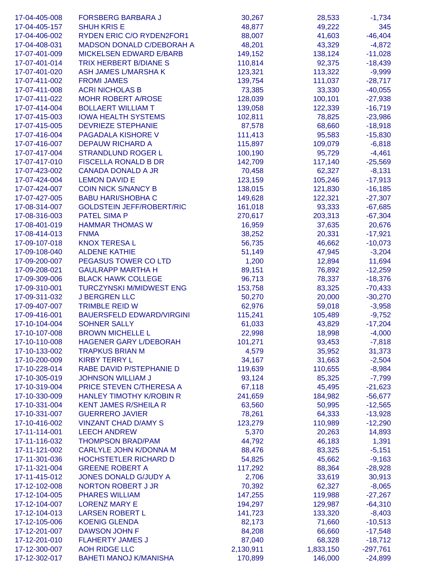| 17-04-405-008 | <b>FORSBERG BARBARA J</b>        | 30,267    | 28,533    | $-1,734$   |
|---------------|----------------------------------|-----------|-----------|------------|
| 17-04-405-157 | <b>SHUH KRIS E</b>               | 48,877    | 49,222    | 345        |
| 17-04-406-002 | RYDEN ERIC C/O RYDEN2FOR1        | 88,007    | 41,603    | $-46,404$  |
| 17-04-408-031 | MADSON DONALD C/DEBORAH A        | 48,201    | 43,329    | $-4,872$   |
| 17-07-401-009 | <b>MICKELSEN EDWARD E/BARB</b>   | 149,152   | 138,124   | $-11,028$  |
| 17-07-401-014 | <b>TRIX HERBERT B/DIANE S</b>    | 110,814   | 92,375    | $-18,439$  |
| 17-07-401-020 | <b>ASH JAMES L/MARSHAK</b>       | 123,321   | 113,322   | $-9,999$   |
| 17-07-411-002 | <b>FROMI JAMES</b>               | 139,754   | 111,037   | $-28,717$  |
| 17-07-411-008 | <b>ACRI NICHOLAS B</b>           | 73,385    | 33,330    | $-40,055$  |
| 17-07-411-022 | <b>MOHR ROBERT A/ROSE</b>        | 128,039   | 100,101   | $-27,938$  |
| 17-07-414-004 | <b>BOLLAERT WILLIAM T</b>        | 139,058   | 122,339   | $-16,719$  |
| 17-07-415-003 | <b>IOWA HEALTH SYSTEMS</b>       | 102,811   | 78,825    | $-23,986$  |
| 17-07-415-005 | <b>DEVRIEZE STEPHANIE</b>        | 87,578    | 68,660    | $-18,918$  |
| 17-07-416-004 | PAGADALA KISHORE V               | 111,413   | 95,583    | $-15,830$  |
| 17-07-416-007 | <b>DEPAUW RICHARD A</b>          | 115,897   | 109,079   | $-6,818$   |
| 17-07-417-004 | <b>STRANDLUND ROGER L</b>        | 100,190   | 95,729    | $-4,461$   |
| 17-07-417-010 | FISCELLA RONALD B DR             | 142,709   | 117,140   | $-25,569$  |
| 17-07-423-002 | <b>CANADA DONALD A JR</b>        | 70,458    | 62,327    | $-8,131$   |
| 17-07-424-004 | <b>LEMON DAVID E</b>             | 123,159   | 105,246   | $-17,913$  |
| 17-07-424-007 | <b>COIN NICK S/NANCY B</b>       | 138,015   | 121,830   | $-16,185$  |
| 17-07-427-005 | <b>BABU HARI/SHOBHA C</b>        | 149,628   | 122,321   | $-27,307$  |
| 17-08-314-007 | <b>GOLDSTEIN JEFF/ROBERT/RIC</b> | 161,018   | 93,333    | $-67,685$  |
| 17-08-316-003 | <b>PATEL SIMA P</b>              | 270,617   | 203,313   | $-67,304$  |
| 17-08-401-019 | <b>HAMMAR THOMAS W</b>           | 16,959    | 37,635    | 20,676     |
| 17-08-414-013 | <b>FNMA</b>                      | 38,252    | 20,331    | $-17,921$  |
| 17-09-107-018 | <b>KNOX TERESA L</b>             | 56,735    | 46,662    | $-10,073$  |
| 17-09-108-040 | <b>ALDENE KATHIE</b>             | 51,149    | 47,945    | $-3,204$   |
| 17-09-200-007 | PEGASUS TOWER CO LTD             | 1,200     | 12,894    | 11,694     |
| 17-09-208-021 | <b>GAULRAPP MARTHA H</b>         | 89,151    | 76,892    | $-12,259$  |
| 17-09-309-006 | <b>BLACK HAWK COLLEGE</b>        | 96,713    | 78,337    | $-18,376$  |
| 17-09-310-001 | <b>TURCZYNSKI M/MIDWEST ENG</b>  | 153,758   | 83,325    | $-70,433$  |
| 17-09-311-032 | <b>J BERGREN LLC</b>             | 50,270    | 20,000    | $-30,270$  |
| 17-09-407-007 | <b>TRIMBLE REID W</b>            | 62,976    | 59,018    | $-3,958$   |
| 17-09-416-001 | <b>BAUERSFELD EDWARD/VIRGINI</b> | 115,241   | 105,489   | $-9,752$   |
| 17-10-104-004 | <b>SOHNER SALLY</b>              | 61,033    | 43,829    | $-17,204$  |
| 17-10-107-008 | <b>BROWN MICHELLE L</b>          | 22,998    | 18,998    | $-4,000$   |
| 17-10-110-008 | <b>HAGENER GARY L/DEBORAH</b>    | 101,271   | 93,453    | $-7,818$   |
| 17-10-133-002 | <b>TRAPKUS BRIAN M</b>           | 4,579     | 35,952    | 31,373     |
| 17-10-200-009 | <b>KIRBY TERRY L</b>             | 34,167    | 31,663    | $-2,504$   |
| 17-10-228-014 | RABE DAVID P/STEPHANIE D         | 119,639   | 110,655   | $-8,984$   |
| 17-10-305-019 | <b>JOHNSON WILLIAM J</b>         | 93,124    | 85,325    | $-7,799$   |
| 17-10-319-004 | PRICE STEVEN C/THERESA A         | 67,118    | 45,495    | $-21,623$  |
| 17-10-330-009 | HANLEY TIMOTHY K/ROBIN R         | 241,659   | 184,982   | $-56,677$  |
| 17-10-331-004 | <b>KENT JAMES R/SHEILA R</b>     | 63,560    | 50,995    | $-12,565$  |
| 17-10-331-007 | <b>GUERRERO JAVIER</b>           | 78,261    | 64,333    | $-13,928$  |
| 17-10-416-002 | <b>VINZANT CHAD D/AMY S</b>      | 123,279   | 110,989   | $-12,290$  |
| 17-11-114-001 | <b>LEECH ANDREW</b>              | 5,370     | 20,263    | 14,893     |
| 17-11-116-032 | <b>THOMPSON BRAD/PAM</b>         | 44,792    | 46,183    | 1,391      |
| 17-11-121-002 | <b>CARLYLE JOHN K/DONNA M</b>    | 88,476    | 83,325    | $-5,151$   |
| 17-11-301-036 | <b>HOCHSTETLER RICHARD D</b>     | 54,825    | 45,662    | $-9,163$   |
| 17-11-321-004 | <b>GREENE ROBERT A</b>           | 117,292   | 88,364    | $-28,928$  |
| 17-11-415-012 | JONES DONALD G/JUDY A            | 2,706     | 33,619    | 30,913     |
| 17-12-102-008 | <b>NORTON ROBERT J JR</b>        | 70,392    | 62,327    | $-8,065$   |
| 17-12-104-005 | <b>PHARES WILLIAM</b>            | 147,255   | 119,988   | $-27,267$  |
| 17-12-104-007 | <b>LORENZ MARY E</b>             | 194,297   | 129,987   | $-64,310$  |
| 17-12-104-013 | <b>LARSEN ROBERT L</b>           | 141,723   | 133,320   | $-8,403$   |
| 17-12-105-006 | <b>KOENIG GLENDA</b>             | 82,173    | 71,660    | $-10,513$  |
| 17-12-201-007 | <b>DAWSON JOHN F</b>             | 84,208    | 66,660    | $-17,548$  |
| 17-12-201-010 | <b>FLAHERTY JAMES J</b>          | 87,040    | 68,328    | $-18,712$  |
| 17-12-300-007 | AOH RIDGE LLC                    | 2,130,911 | 1,833,150 | $-297,761$ |
| 17-12-302-017 | <b>BAHETI MANOJ K/MANISHA</b>    | 170,899   | 146,000   | $-24,899$  |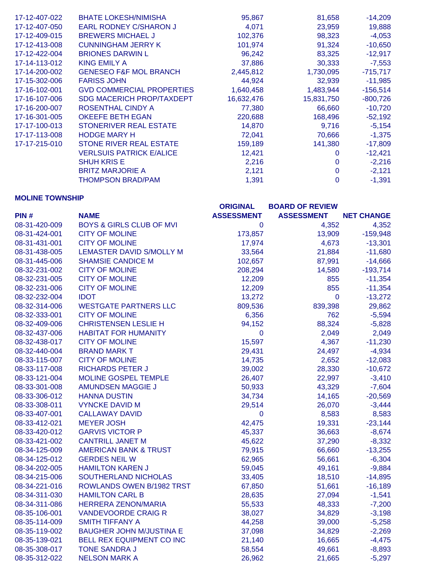| 17-12-407-022 | <b>BHATE LOKESH/NIMISHA</b>       | 95,867     | 81,658     | $-14,209$  |
|---------------|-----------------------------------|------------|------------|------------|
| 17-12-407-050 | <b>EARL RODNEY C/SHARON J</b>     | 4,071      | 23,959     | 19,888     |
| 17-12-409-015 | <b>BREWERS MICHAEL J</b>          | 102,376    | 98,323     | $-4,053$   |
| 17-12-413-008 | <b>CUNNINGHAM JERRY K</b>         | 101.974    | 91,324     | $-10,650$  |
| 17-12-422-004 | <b>BRIONES DARWIN L</b>           | 96,242     | 83,325     | $-12,917$  |
| 17-14-113-012 | KING EMILY A                      | 37,886     | 30,333     | $-7,553$   |
| 17-14-200-002 | <b>GENESEO F&amp;F MOL BRANCH</b> | 2,445,812  | 1,730,095  | $-715,717$ |
| 17-15-302-006 | <b>FARISS JOHN</b>                | 44,924     | 32,939     | $-11,985$  |
| 17-16-102-001 | <b>GVD COMMERCIAL PROPERTIES</b>  | 1,640,458  | 1,483,944  | $-156,514$ |
| 17-16-107-006 | <b>SDG MACERICH PROP/TAXDEPT</b>  | 16,632,476 | 15,831,750 | $-800,726$ |
| 17-16-200-007 | ROSENTHAL CINDY A                 | 77,380     | 66,660     | $-10,720$  |
| 17-16-301-005 | <b>OKEEFE BETH EGAN</b>           | 220,688    | 168,496    | $-52,192$  |
| 17-17-100-013 | STONERIVER REAL ESTATE            | 14,870     | 9,716      | $-5,154$   |
| 17-17-113-008 | <b>HODGE MARY H</b>               | 72,041     | 70,666     | $-1,375$   |
| 17-17-215-010 | <b>STONE RIVER REAL ESTATE</b>    | 159,189    | 141,380    | $-17,809$  |
|               | <b>VERLSUIS PATRICK E/ALICE</b>   | 12,421     |            | $-12,421$  |
|               | <b>SHUH KRIS E</b>                | 2,216      | 0          | $-2,216$   |
|               | <b>BRITZ MARJORIE A</b>           | 2,121      | 0          | $-2,121$   |
|               | <b>THOMPSON BRAD/PAM</b>          | 1,391      | 0          | $-1,391$   |

# **MOLINE TOWNSHIP**

|               |                                     | <b>ORIGINAL</b>   | <b>BOARD OF REVIEW</b> |                   |
|---------------|-------------------------------------|-------------------|------------------------|-------------------|
| PIN#          | <b>NAME</b>                         | <b>ASSESSMENT</b> | <b>ASSESSMENT</b>      | <b>NET CHANGE</b> |
| 08-31-420-009 | <b>BOYS &amp; GIRLS CLUB OF MVI</b> | 0                 | 4,352                  | 4,352             |
| 08-31-424-001 | <b>CITY OF MOLINE</b>               | 173,857           | 13,909                 | $-159,948$        |
| 08-31-431-001 | <b>CITY OF MOLINE</b>               | 17,974            | 4,673                  | $-13,301$         |
| 08-31-438-005 | <b>LEMASTER DAVID S/MOLLY M</b>     | 33,564            | 21,884                 | $-11,680$         |
| 08-31-445-006 | <b>SHAMSIE CANDICE M</b>            | 102,657           | 87,991                 | $-14,666$         |
| 08-32-231-002 | <b>CITY OF MOLINE</b>               | 208,294           | 14,580                 | $-193,714$        |
| 08-32-231-005 | <b>CITY OF MOLINE</b>               | 12,209            | 855                    | $-11,354$         |
| 08-32-231-006 | <b>CITY OF MOLINE</b>               | 12,209            | 855                    | $-11,354$         |
| 08-32-232-004 | <b>IDOT</b>                         | 13,272            | $\mathbf 0$            | $-13,272$         |
| 08-32-314-006 | <b>WESTGATE PARTNERS LLC</b>        | 809,536           | 839,398                | 29,862            |
| 08-32-333-001 | <b>CITY OF MOLINE</b>               | 6,356             | 762                    | $-5,594$          |
| 08-32-409-006 | <b>CHRISTENSEN LESLIE H</b>         | 94,152            | 88,324                 | $-5,828$          |
| 08-32-437-006 | <b>HABITAT FOR HUMANITY</b>         | $\mathbf 0$       | 2,049                  | 2,049             |
| 08-32-438-017 | <b>CITY OF MOLINE</b>               | 15,597            | 4,367                  | $-11,230$         |
| 08-32-440-004 | <b>BRAND MARK T</b>                 | 29,431            | 24,497                 | $-4,934$          |
| 08-33-115-007 | <b>CITY OF MOLINE</b>               | 14,735            | 2,652                  | $-12,083$         |
| 08-33-117-008 | <b>RICHARDS PETER J</b>             | 39,002            | 28,330                 | $-10,672$         |
| 08-33-121-004 | <b>MOLINE GOSPEL TEMPLE</b>         | 26,407            | 22,997                 | $-3,410$          |
| 08-33-301-008 | <b>AMUNDSEN MAGGIE J</b>            | 50,933            | 43,329                 | $-7,604$          |
| 08-33-306-012 | <b>HANNA DUSTIN</b>                 | 34,734            | 14,165                 | $-20,569$         |
| 08-33-308-011 | <b>VYNCKE DAVID M</b>               | 29,514            | 26,070                 | $-3,444$          |
| 08-33-407-001 | <b>CALLAWAY DAVID</b>               | $\mathbf 0$       | 8,583                  | 8,583             |
| 08-33-412-021 | <b>MEYER JOSH</b>                   | 42,475            | 19,331                 | $-23,144$         |
| 08-33-420-012 | <b>GARVIS VICTOR P</b>              | 45,337            | 36,663                 | $-8,674$          |
| 08-33-421-002 | <b>CANTRILL JANET M</b>             | 45,622            | 37,290                 | $-8,332$          |
| 08-34-125-009 | <b>AMERICAN BANK &amp; TRUST</b>    | 79,915            | 66,660                 | $-13,255$         |
| 08-34-125-012 | <b>GERDES NEIL W</b>                | 62,965            | 56,661                 | $-6,304$          |
| 08-34-202-005 | <b>HAMILTON KAREN J</b>             | 59,045            | 49,161                 | $-9,884$          |
| 08-34-215-006 | SOUTHERLAND NICHOLAS                | 33,405            | 18,510                 | $-14,895$         |
| 08-34-221-016 | ROWLANDS OWEN B/1982 TRST           | 67,850            | 51,661                 | $-16,189$         |
| 08-34-311-030 | <b>HAMILTON CARL B</b>              | 28,635            | 27,094                 | $-1,541$          |
| 08-34-311-086 | <b>HERRERA ZENON/MARIA</b>          | 55,533            | 48,333                 | $-7,200$          |
| 08-35-106-001 | <b>VANDEVOORDE CRAIG R</b>          | 38,027            | 34,829                 | $-3,198$          |
| 08-35-114-009 | <b>SMITH TIFFANY A</b>              | 44,258            | 39,000                 | $-5,258$          |
| 08-35-119-002 | <b>BAUGHER JOHN M/JUSTINA E</b>     | 37,098            | 34,829                 | $-2,269$          |
| 08-35-139-021 | BELL REX EQUIPMENT CO INC           | 21,140            | 16,665                 | $-4,475$          |
| 08-35-308-017 | <b>TONE SANDRA J</b>                | 58,554            | 49,661                 | $-8,893$          |
| 08-35-312-022 | <b>NELSON MARK A</b>                | 26,962            | 21,665                 | $-5,297$          |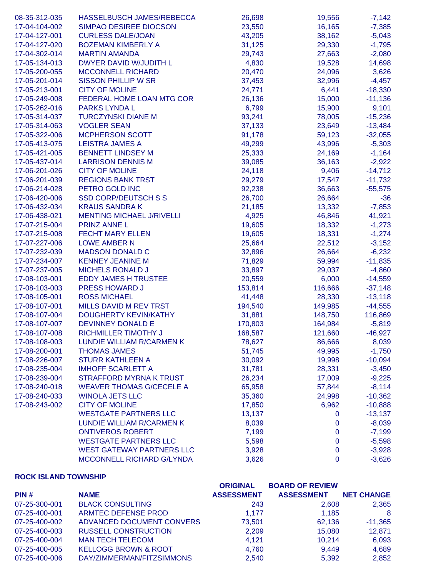| 08-35-312-035 | HASSELBUSCH JAMES/REBECCA        | 26,698  | 19,556      | $-7,142$  |
|---------------|----------------------------------|---------|-------------|-----------|
| 17-04-104-002 | <b>SIMPAO DESIREE DIOCSON</b>    | 23,550  | 16,165      | $-7,385$  |
| 17-04-127-001 | <b>CURLESS DALE/JOAN</b>         | 43,205  | 38,162      | $-5,043$  |
| 17-04-127-020 | <b>BOZEMAN KIMBERLY A</b>        | 31,125  | 29,330      | $-1,795$  |
| 17-04-302-014 | <b>MARTIN AMANDA</b>             | 29,743  | 27,663      | $-2,080$  |
| 17-05-134-013 | DWYER DAVID W/JUDITH L           | 4,830   | 19,528      | 14,698    |
| 17-05-200-055 | <b>MCCONNELL RICHARD</b>         | 20,470  | 24,096      | 3,626     |
| 17-05-201-014 | <b>SISSON PHILLIP W SR</b>       | 37,453  | 32,996      | $-4,457$  |
| 17-05-213-001 | <b>CITY OF MOLINE</b>            | 24,771  | 6,441       | $-18,330$ |
| 17-05-249-008 | FEDERAL HOME LOAN MTG COR        | 26,136  | 15,000      | $-11,136$ |
| 17-05-262-016 | <b>PARKS LYNDA L</b>             | 6,799   | 15,900      | 9,101     |
| 17-05-314-037 | <b>TURCZYNSKI DIANE M</b>        | 93,241  | 78,005      | $-15,236$ |
| 17-05-314-063 | <b>VOGLER SEAN</b>               | 37,133  | 23,649      | $-13,484$ |
| 17-05-322-006 | <b>MCPHERSON SCOTT</b>           | 91,178  | 59,123      | $-32,055$ |
| 17-05-413-075 | <b>LEISTRA JAMES A</b>           | 49,299  | 43,996      | $-5,303$  |
| 17-05-421-005 | <b>BENNETT LINDSEY M</b>         | 25,333  | 24,169      | $-1,164$  |
| 17-05-437-014 | <b>LARRISON DENNIS M</b>         | 39,085  | 36,163      | $-2,922$  |
| 17-06-201-026 | <b>CITY OF MOLINE</b>            | 24,118  | 9,406       | $-14,712$ |
| 17-06-201-039 | <b>REGIONS BANK TRST</b>         | 29,279  | 17,547      | $-11,732$ |
| 17-06-214-028 | PETRO GOLD INC                   | 92,238  | 36,663      | $-55,575$ |
| 17-06-420-006 | <b>SSD CORP/DEUTSCH S S</b>      | 26,700  | 26,664      | $-36$     |
| 17-06-432-034 | <b>KRAUS SANDRAK</b>             | 21,185  | 13,332      | $-7,853$  |
| 17-06-438-021 | <b>MENTING MICHAEL J/RIVELLI</b> | 4,925   | 46,846      | 41,921    |
| 17-07-215-004 | <b>PRINZ ANNE L</b>              | 19,605  | 18,332      | $-1,273$  |
| 17-07-215-008 | <b>FECHT MARY ELLEN</b>          | 19,605  | 18,331      | $-1,274$  |
| 17-07-227-006 | <b>LOWE AMBER N</b>              | 25,664  | 22,512      | $-3,152$  |
| 17-07-232-039 | <b>MADSON DONALD C</b>           |         | 26,664      |           |
|               |                                  | 32,896  |             | $-6,232$  |
| 17-07-234-007 | <b>KENNEY JEANINE M</b>          | 71,829  | 59,994      | $-11,835$ |
| 17-07-237-005 | <b>MICHELS RONALD J</b>          | 33,897  | 29,037      | $-4,860$  |
| 17-08-103-001 | <b>EDDY JAMES H TRUSTEE</b>      | 20,559  | 6,000       | $-14,559$ |
| 17-08-103-003 | <b>PRESS HOWARD J</b>            | 153,814 | 116,666     | $-37,148$ |
| 17-08-105-001 | <b>ROSS MICHAEL</b>              | 41,448  | 28,330      | $-13,118$ |
| 17-08-107-001 | MILLS DAVID M REV TRST           | 194,540 | 149,985     | $-44,555$ |
| 17-08-107-004 | <b>DOUGHERTY KEVIN/KATHY</b>     | 31,881  | 148,750     | 116,869   |
| 17-08-107-007 | <b>DEVINNEY DONALD E</b>         | 170,803 | 164,984     | $-5,819$  |
| 17-08-107-008 | RICHMILLER TIMOTHY J             | 168,587 | 121,660     | $-46,927$ |
| 17-08-108-003 | LUNDIE WILLIAM R/CARMEN K        | 78,627  | 86,666      | 8,039     |
| 17-08-200-001 | <b>THOMAS JAMES</b>              | 51,745  | 49,995      | $-1,750$  |
| 17-08-226-007 | <b>STURR KATHLEEN A</b>          | 30,092  | 19,998      | $-10,094$ |
| 17-08-235-004 | <b>IMHOFF SCARLETT A</b>         | 31,781  | 28,331      | $-3,450$  |
| 17-08-239-004 | <b>STRAFFORD MYRNA K TRUST</b>   | 26,234  | 17,009      | $-9,225$  |
| 17-08-240-018 | <b>WEAVER THOMAS G/CECELE A</b>  | 65,958  | 57,844      | $-8,114$  |
| 17-08-240-033 | <b>WINOLA JETS LLC</b>           | 35,360  | 24,998      | $-10,362$ |
| 17-08-243-002 | <b>CITY OF MOLINE</b>            | 17,850  | 6,962       | $-10,888$ |
|               | <b>WESTGATE PARTNERS LLC</b>     | 13,137  | $\mathbf 0$ | $-13,137$ |
|               | <b>LUNDIE WILLIAM R/CARMEN K</b> | 8,039   | $\mathbf 0$ | $-8,039$  |
|               | <b>ONTIVEROS ROBERT</b>          | 7,199   | $\mathbf 0$ | $-7,199$  |
|               | <b>WESTGATE PARTNERS LLC</b>     | 5,598   | $\mathbf 0$ | $-5,598$  |
|               | <b>WEST GATEWAY PARTNERS LLC</b> | 3,928   | $\mathbf 0$ | $-3,928$  |
|               | MCCONNELL RICHARD G/LYNDA        | 3,626   | $\pmb{0}$   | $-3,626$  |

### **ROCK ISLAND TOWNSHIP**

|               |                                 | <b>ORIGINAL</b>   | <b>BOARD OF REVIEW</b> |                   |
|---------------|---------------------------------|-------------------|------------------------|-------------------|
| PIN#          | <b>NAME</b>                     | <b>ASSESSMENT</b> | <b>ASSESSMENT</b>      | <b>NET CHANGE</b> |
| 07-25-300-001 | <b>BLACK CONSULTING</b>         | 243               | 2,608                  | 2,365             |
| 07-25-400-001 | ARMTEC DEFENSE PROD             | 1.177             | 1,185                  | -8                |
| 07-25-400-002 | ADVANCED DOCUMENT CONVERS       | 73,501            | 62,136                 | $-11,365$         |
| 07-25-400-003 | <b>RUSSELL CONSTRUCTION</b>     | 2,209             | 15,080                 | 12.871            |
| 07-25-400-004 | <b>MAN TECH TELECOM</b>         | 4.121             | 10.214                 | 6,093             |
| 07-25-400-005 | <b>KELLOGG BROWN &amp; ROOT</b> | 4,760             | 9.449                  | 4,689             |
| 07-25-400-006 | DAY/ZIMMERMAN/FITZSIMMONS       | 2,540             | 5.392                  | 2,852             |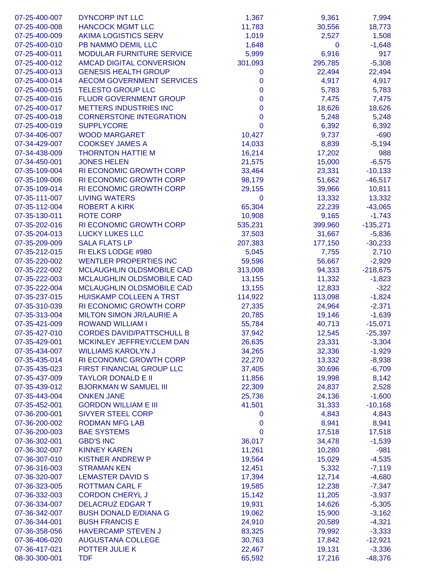| 07-25-400-007 | <b>DYNCORP INT LLC</b>           | 1,367            | 9,361       | 7,994      |
|---------------|----------------------------------|------------------|-------------|------------|
| 07-25-400-008 | <b>HANCOCK MGMT LLC</b>          | 11,783           | 30,556      | 18,773     |
| 07-25-400-009 | <b>AKIMA LOGISTICS SERV</b>      | 1,019            | 2,527       | 1,508      |
| 07-25-400-010 | PB NAMMO DEMIL LLC               | 1,648            | $\mathbf 0$ | $-1,648$   |
| 07-25-400-011 | <b>MODULAR FURNITURE SERVICE</b> | 5,999            | 6,916       | 917        |
| 07-25-400-012 | <b>AMCAD DIGITAL CONVERSION</b>  | 301,093          | 295,785     | $-5,308$   |
| 07-25-400-013 | <b>GENESIS HEALTH GROUP</b>      | 0                | 22,494      | 22,494     |
| 07-25-400-014 | <b>AECOM GOVERNMENT SERVICES</b> | 0                | 4,917       | 4,917      |
| 07-25-400-015 | <b>TELESTO GROUP LLC</b>         | 0                | 5,783       | 5,783      |
| 07-25-400-016 | <b>FLUOR GOVERNMENT GROUP</b>    | 0                | 7,475       | 7,475      |
| 07-25-400-017 | <b>METTERS INDUSTRIES INC</b>    | 0                | 18,626      | 18,626     |
| 07-25-400-018 | <b>CORNERSTONE INTEGRATION</b>   | 0                | 5,248       | 5,248      |
| 07-25-400-019 | <b>SUPPLYCORE</b>                | 0                | 6,392       | 6,392      |
| 07-34-406-007 | <b>WOOD MARGARET</b>             | 10,427           | 9,737       | $-690$     |
| 07-34-429-007 | <b>COOKSEY JAMES A</b>           | 14,033           | 8,839       | $-5,194$   |
| 07-34-438-009 | <b>THORNTON HATTIE M</b>         | 16,214           | 17,202      | 988        |
| 07-34-450-001 | <b>JONES HELEN</b>               | 21,575           | 15,000      | $-6,575$   |
| 07-35-109-004 | <b>RI ECONOMIC GROWTH CORP</b>   | 33,464           | 23,331      | $-10,133$  |
| 07-35-109-006 | RI ECONOMIC GROWTH CORP          | 98,179           | 51,662      | $-46,517$  |
| 07-35-109-014 | <b>RI ECONOMIC GROWTH CORP</b>   | 29,155           | 39,966      | 10,811     |
| 07-35-111-007 | <b>LIVING WATERS</b>             | $\mathbf 0$      | 13,332      | 13,332     |
| 07-35-112-004 | <b>ROBERT A KIRK</b>             | 65,304           | 22,239      | $-43,065$  |
| 07-35-130-011 | <b>ROTE CORP</b>                 | 10,908           | 9,165       | $-1,743$   |
| 07-35-202-016 | <b>RI ECONOMIC GROWTH CORP</b>   | 535,231          | 399,960     | $-135,271$ |
| 07-35-204-013 | <b>LUCKY LUKES LLC</b>           | 37,503           | 31,667      | $-5,836$   |
| 07-35-209-009 | <b>SALA FLATS LP</b>             | 207,383          | 177,150     | $-30,233$  |
| 07-35-212-015 | RI ELKS LODGE #980               | 5,045            | 7,755       | 2,710      |
| 07-35-220-002 | <b>WENTLER PROPERTIES INC</b>    | 59,596           | 56,667      | $-2,929$   |
| 07-35-222-002 | MCLAUGHLIN OLDSMOBILE CAD        | 313,008          | 94,333      | $-218,675$ |
| 07-35-222-003 | MCLAUGHLIN OLDSMOBILE CAD        | 13,155           | 11,332      | $-1,823$   |
| 07-35-222-004 | MCLAUGHLIN OLDSMOBILE CAD        | 13,155           | 12,833      | $-322$     |
| 07-35-237-015 | <b>HUISKAMP COLLEEN A TRST</b>   | 114,922          | 113,098     | $-1,824$   |
| 07-35-310-039 | <b>RI ECONOMIC GROWTH CORP</b>   | 27,335           | 24,964      | $-2,371$   |
| 07-35-313-004 | <b>MILTON SIMON JR/LAURIE A</b>  | 20,785           | 19,146      | $-1,639$   |
| 07-35-421-009 | <b>ROWAND WILLIAM I</b>          | 55,784           | 40,713      | $-15,071$  |
| 07-35-427-010 | <b>CORDES DAVID/PATTSCHULL B</b> | 37,942           | 12,545      | $-25,397$  |
| 07-35-429-001 | <b>MCKINLEY JEFFREY/CLEM DAN</b> | 26,635           | 23,331      | $-3,304$   |
| 07-35-434-007 | <b>WILLIAMS KAROLYN J</b>        | 34,265           | 32,336      | $-1,929$   |
| 07-35-435-014 | <b>RI ECONOMIC GROWTH CORP</b>   | 22,270           | 13,332      | $-8,938$   |
| 07-35-435-023 | FIRST FINANCIAL GROUP LLC        | 37,405           | 30,696      | $-6,709$   |
| 07-35-437-009 | <b>TAYLOR DONALD E II</b>        | 11,856           | 19,998      | 8,142      |
| 07-35-439-012 | <b>BJORKMAN W SAMUEL III</b>     | 22,309           | 24,837      | 2,528      |
| 07-35-443-004 | <b>ONKEN JANE</b>                | 25,736           | 24,136      | $-1,600$   |
| 07-35-452-001 | <b>GORDON WILLIAM E III</b>      | 41,501           | 31,333      | $-10,168$  |
| 07-36-200-001 | <b>SIVYER STEEL CORP</b>         | 0                | 4,843       | 4,843      |
| 07-36-200-002 | <b>RODMAN MFG LAB</b>            | $\boldsymbol{0}$ | 8,941       | 8,941      |
| 07-36-200-003 | <b>BAE SYSTEMS</b>               | 0                | 17,518      | 17,518     |
| 07-36-302-001 | <b>GBD'S INC</b>                 | 36,017           | 34,478      | $-1,539$   |
| 07-36-302-007 | <b>KINNEY KAREN</b>              | 11,261           | 10,280      | $-981$     |
| 07-36-307-010 | <b>KISTNER ANDREW P</b>          | 19,564           | 15,029      | $-4,535$   |
| 07-36-316-003 | <b>STRAMAN KEN</b>               | 12,451           | 5,332       | $-7,119$   |
| 07-36-320-007 | <b>LEMASTER DAVID S</b>          | 17,394           | 12,714      | $-4,680$   |
| 07-36-323-005 | <b>ROTTMAN CARL F</b>            | 19,585           | 12,238      | $-7,347$   |
| 07-36-332-003 | <b>CORDON CHERYL J</b>           | 15,142           | 11,205      | $-3,937$   |
| 07-36-334-007 | <b>DELACRUZ EDGAR T</b>          | 19,931           | 14,626      | $-5,305$   |
| 07-36-342-007 | <b>BUSH DONALD E/DIANA G</b>     | 19,062           | 15,900      | $-3,162$   |
| 07-36-344-001 | <b>BUSH FRANCIS E</b>            | 24,910           | 20,589      | $-4,321$   |
| 07-36-358-056 | <b>HAVERCAMP STEVEN J</b>        | 83,325           | 79,992      | $-3,333$   |
| 07-36-406-020 | <b>AUGUSTANA COLLEGE</b>         | 30,763           | 17,842      | $-12,921$  |
| 07-36-417-021 | POTTER JULIE K                   | 22,467           | 19,131      | $-3,336$   |
| 08-30-300-001 | <b>TDF</b>                       | 65,592           | 17,216      | $-48,376$  |
|               |                                  |                  |             |            |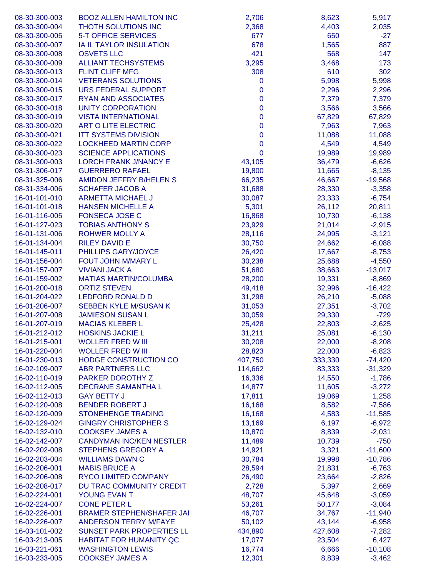| <b>THOTH SOLUTIONS INC</b><br>2,368<br>4,403<br>2,035<br><b>5-T OFFICE SERVICES</b><br>677<br>650<br>$-27$<br>678<br>IA IL TAYLOR INSULATION<br>1,565<br>887<br>421<br>08-30-300-008<br><b>OSVETS LLC</b><br>568<br>147<br><b>ALLIANT TECHSYSTEMS</b><br>3,295<br>3,468<br>173<br>308<br><b>FLINT CLIFF MFG</b><br>610<br>302<br><b>VETERANS SOLUTIONS</b><br>0<br>5,998<br>5,998<br>08-30-300-015<br>URS FEDERAL SUPPORT<br>0<br>2,296<br>2,296<br><b>RYAN AND ASSOCIATES</b><br>0<br>7,379<br>7,379<br>$\pmb{0}$<br><b>UNITY CORPORATION</b><br>3,566<br>3,566<br>08-30-300-018<br>$\pmb{0}$<br>67,829<br><b>VISTA INTERNATIONAL</b><br>67,829<br>$\pmb{0}$<br>ART O LITE ELECTRIC<br>7,963<br>7,963<br>$\pmb{0}$<br>11,088<br><b>ITT SYSTEMS DIVISION</b><br>11,088<br>$\pmb{0}$<br><b>LOCKHEED MARTIN CORP</b><br>4,549<br>4,549<br>$\mathbf 0$<br>08-30-300-023<br><b>SCIENCE APPLICATIONS</b><br>19,989<br>19,989<br>08-31-300-003<br><b>LORCH FRANK J/NANCY E</b><br>43,105<br>36,479<br>$-6,626$<br>08-31-306-017<br><b>GUERRERO RAFAEL</b><br>19,800<br>11,665<br>$-8,135$<br>08-31-325-006<br>AMIDON JEFFRY B/HELEN S<br>66,235<br>46,667<br>$-19,568$<br>08-31-334-006<br><b>SCHAFER JACOB A</b><br>31,688<br>28,330<br>$-3,358$<br>16-01-101-010<br><b>ARMETTA MICHAEL J</b><br>30,087<br>23,333<br>$-6,754$<br>20,811<br>16-01-101-018<br><b>HANSEN MICHELLE A</b><br>5,301<br>26,112<br><b>FONSECA JOSE C</b><br>16-01-116-005<br>16,868<br>10,730<br>$-6,138$<br>21,014<br>16-01-127-023<br><b>TOBIAS ANTHONY S</b><br>23,929<br>$-2,915$<br>16-01-131-006<br><b>ROHWER MOLLY A</b><br>28,116<br>24,995<br>$-3,121$<br>16-01-134-004<br><b>RILEY DAVID E</b><br>30,750<br>24,662<br>$-6,088$<br>PHILLIPS GARY/JOYCE<br>16-01-145-011<br>26,420<br>17,667<br>$-8,753$<br>$-4,550$<br>16-01-156-004<br>FOUT JOHN M/MARY L<br>30,238<br>25,688<br><b>VIVIANI JACK A</b><br>51,680<br>38,663<br>$-13,017$<br>16-01-157-007<br>16-01-159-002<br><b>MATIAS MARTIN/COLUMBA</b><br>28,200<br>19,331<br>$-8,869$<br><b>ORTIZ STEVEN</b><br>16-01-200-018<br>49,418<br>32,996<br>$-16,422$<br><b>LEDFORD RONALD D</b><br>26,210<br>16-01-204-022<br>31,298<br>$-5,088$<br>16-01-206-007<br>SEBBEN KYLE M/SUSAN K<br>31,053<br>27,351<br>$-3,702$<br><b>JAMIESON SUSAN L</b><br>16-01-207-008<br>$-729$<br>30,059<br>29,330<br>16-01-207-019<br><b>MACIAS KLEBER L</b><br>$-2,625$<br>25,428<br>22,803<br><b>HOSKINS JACKIE L</b><br>16-01-212-012<br>31,211<br>25,081<br>$-6,130$<br>16-01-215-001<br><b>WOLLER FRED WIII</b><br>30,208<br>22,000<br>$-8,208$<br>16-01-220-004<br><b>WOLLER FRED W III</b><br>$-6,823$<br>28,823<br>22,000<br><b>HODGE CONSTRUCTION CO</b><br>16-01-230-013<br>407,750<br>333,330<br>$-74,420$<br><b>ABR PARTNERS LLC</b><br>16-02-109-007<br>114,662<br>83,333<br>$-31,329$<br>PARKER DOROTHY Z<br>16-02-110-019<br>16,336<br>14,550<br>$-1,786$<br>16-02-112-005<br><b>DECRANE SAMANTHA L</b><br>14,877<br>11,605<br>$-3,272$<br>16-02-112-013<br><b>GAY BETTY J</b><br>17,811<br>19,069<br>1,258<br><b>BENDER ROBERT J</b><br>16-02-120-008<br>16,168<br>8,582<br>$-7,586$<br>$-11,585$<br>16-02-120-009<br><b>STONEHENGE TRADING</b><br>16,168<br>4,583<br>6,197<br>16-02-129-024<br><b>GINGRY CHRISTOPHER S</b><br>13,169<br>$-6,972$<br>16-02-132-010<br><b>COOKSEY JAMES A</b><br>10,870<br>8,839<br>$-2,031$<br>16-02-142-007<br><b>CANDYMAN INC/KEN NESTLER</b><br>11,489<br>10,739<br>$-750$<br>16-02-202-008<br><b>STEPHENS GREGORY A</b><br>14,921<br>3,321<br>$-11,600$<br>16-02-203-004<br><b>WILLIAMS DAWN C</b><br>30,784<br>19,998<br>$-10,786$<br>16-02-206-001<br><b>MABIS BRUCE A</b><br>28,594<br>$-6,763$<br>21,831<br>16-02-206-008<br><b>RYCO LIMITED COMPANY</b><br>$-2,826$<br>26,490<br>23,664<br>16-02-208-017<br>DU TRAC COMMUNITY CREDIT<br>5,397<br>2,669<br>2,728<br>45,648<br>$-3,059$<br>16-02-224-001<br>YOUNG EVAN T<br>48,707<br><b>CONE PETER L</b><br>53,261<br>50,177<br>$-3,084$<br>16-02-224-007<br>16-02-226-001<br><b>BRAMER STEPHEN/SHAFER JAI</b><br>46,707<br>$-11,940$<br>34,767<br>16-02-226-007<br><b>ANDERSON TERRY M/FAYE</b><br>50,102<br>43,144<br>$-6,958$<br>16-03-101-002<br><b>SUNSET PARK PROPERTIES LL</b><br>434,890<br>427,608<br>$-7,282$<br><b>HABITAT FOR HUMANITY QC</b><br>17,077<br>23,504<br>6,427<br>16-03-213-005<br>16-03-221-061<br><b>WASHINGTON LEWIS</b><br>16,774<br>6,666<br>$-10,108$<br><b>COOKSEY JAMES A</b><br>16-03-233-005<br>12,301<br>8,839<br>$-3,462$ | 08-30-300-003 | <b>BOOZ ALLEN HAMILTON INC</b> | 2,706 | 8,623 | 5,917 |
|-------------------------------------------------------------------------------------------------------------------------------------------------------------------------------------------------------------------------------------------------------------------------------------------------------------------------------------------------------------------------------------------------------------------------------------------------------------------------------------------------------------------------------------------------------------------------------------------------------------------------------------------------------------------------------------------------------------------------------------------------------------------------------------------------------------------------------------------------------------------------------------------------------------------------------------------------------------------------------------------------------------------------------------------------------------------------------------------------------------------------------------------------------------------------------------------------------------------------------------------------------------------------------------------------------------------------------------------------------------------------------------------------------------------------------------------------------------------------------------------------------------------------------------------------------------------------------------------------------------------------------------------------------------------------------------------------------------------------------------------------------------------------------------------------------------------------------------------------------------------------------------------------------------------------------------------------------------------------------------------------------------------------------------------------------------------------------------------------------------------------------------------------------------------------------------------------------------------------------------------------------------------------------------------------------------------------------------------------------------------------------------------------------------------------------------------------------------------------------------------------------------------------------------------------------------------------------------------------------------------------------------------------------------------------------------------------------------------------------------------------------------------------------------------------------------------------------------------------------------------------------------------------------------------------------------------------------------------------------------------------------------------------------------------------------------------------------------------------------------------------------------------------------------------------------------------------------------------------------------------------------------------------------------------------------------------------------------------------------------------------------------------------------------------------------------------------------------------------------------------------------------------------------------------------------------------------------------------------------------------------------------------------------------------------------------------------------------------------------------------------------------------------------------------------------------------------------------------------------------------------------------------------------------------------------------------------------------------------------------------------------------------------------------------------------------------------------------------------------------------------------------------------------------------------------------------------------------------------------------------------------------------------------------------------------------------------------------------------------------------------------------------------------------------------------------------------------------------------------------|---------------|--------------------------------|-------|-------|-------|
|                                                                                                                                                                                                                                                                                                                                                                                                                                                                                                                                                                                                                                                                                                                                                                                                                                                                                                                                                                                                                                                                                                                                                                                                                                                                                                                                                                                                                                                                                                                                                                                                                                                                                                                                                                                                                                                                                                                                                                                                                                                                                                                                                                                                                                                                                                                                                                                                                                                                                                                                                                                                                                                                                                                                                                                                                                                                                                                                                                                                                                                                                                                                                                                                                                                                                                                                                                                                                                                                                                                                                                                                                                                                                                                                                                                                                                                                                                                                                                                                                                                                                                                                                                                                                                                                                                                                                                                                                                                                                     | 08-30-300-004 |                                |       |       |       |
|                                                                                                                                                                                                                                                                                                                                                                                                                                                                                                                                                                                                                                                                                                                                                                                                                                                                                                                                                                                                                                                                                                                                                                                                                                                                                                                                                                                                                                                                                                                                                                                                                                                                                                                                                                                                                                                                                                                                                                                                                                                                                                                                                                                                                                                                                                                                                                                                                                                                                                                                                                                                                                                                                                                                                                                                                                                                                                                                                                                                                                                                                                                                                                                                                                                                                                                                                                                                                                                                                                                                                                                                                                                                                                                                                                                                                                                                                                                                                                                                                                                                                                                                                                                                                                                                                                                                                                                                                                                                                     | 08-30-300-005 |                                |       |       |       |
|                                                                                                                                                                                                                                                                                                                                                                                                                                                                                                                                                                                                                                                                                                                                                                                                                                                                                                                                                                                                                                                                                                                                                                                                                                                                                                                                                                                                                                                                                                                                                                                                                                                                                                                                                                                                                                                                                                                                                                                                                                                                                                                                                                                                                                                                                                                                                                                                                                                                                                                                                                                                                                                                                                                                                                                                                                                                                                                                                                                                                                                                                                                                                                                                                                                                                                                                                                                                                                                                                                                                                                                                                                                                                                                                                                                                                                                                                                                                                                                                                                                                                                                                                                                                                                                                                                                                                                                                                                                                                     | 08-30-300-007 |                                |       |       |       |
|                                                                                                                                                                                                                                                                                                                                                                                                                                                                                                                                                                                                                                                                                                                                                                                                                                                                                                                                                                                                                                                                                                                                                                                                                                                                                                                                                                                                                                                                                                                                                                                                                                                                                                                                                                                                                                                                                                                                                                                                                                                                                                                                                                                                                                                                                                                                                                                                                                                                                                                                                                                                                                                                                                                                                                                                                                                                                                                                                                                                                                                                                                                                                                                                                                                                                                                                                                                                                                                                                                                                                                                                                                                                                                                                                                                                                                                                                                                                                                                                                                                                                                                                                                                                                                                                                                                                                                                                                                                                                     |               |                                |       |       |       |
|                                                                                                                                                                                                                                                                                                                                                                                                                                                                                                                                                                                                                                                                                                                                                                                                                                                                                                                                                                                                                                                                                                                                                                                                                                                                                                                                                                                                                                                                                                                                                                                                                                                                                                                                                                                                                                                                                                                                                                                                                                                                                                                                                                                                                                                                                                                                                                                                                                                                                                                                                                                                                                                                                                                                                                                                                                                                                                                                                                                                                                                                                                                                                                                                                                                                                                                                                                                                                                                                                                                                                                                                                                                                                                                                                                                                                                                                                                                                                                                                                                                                                                                                                                                                                                                                                                                                                                                                                                                                                     | 08-30-300-009 |                                |       |       |       |
|                                                                                                                                                                                                                                                                                                                                                                                                                                                                                                                                                                                                                                                                                                                                                                                                                                                                                                                                                                                                                                                                                                                                                                                                                                                                                                                                                                                                                                                                                                                                                                                                                                                                                                                                                                                                                                                                                                                                                                                                                                                                                                                                                                                                                                                                                                                                                                                                                                                                                                                                                                                                                                                                                                                                                                                                                                                                                                                                                                                                                                                                                                                                                                                                                                                                                                                                                                                                                                                                                                                                                                                                                                                                                                                                                                                                                                                                                                                                                                                                                                                                                                                                                                                                                                                                                                                                                                                                                                                                                     | 08-30-300-013 |                                |       |       |       |
|                                                                                                                                                                                                                                                                                                                                                                                                                                                                                                                                                                                                                                                                                                                                                                                                                                                                                                                                                                                                                                                                                                                                                                                                                                                                                                                                                                                                                                                                                                                                                                                                                                                                                                                                                                                                                                                                                                                                                                                                                                                                                                                                                                                                                                                                                                                                                                                                                                                                                                                                                                                                                                                                                                                                                                                                                                                                                                                                                                                                                                                                                                                                                                                                                                                                                                                                                                                                                                                                                                                                                                                                                                                                                                                                                                                                                                                                                                                                                                                                                                                                                                                                                                                                                                                                                                                                                                                                                                                                                     | 08-30-300-014 |                                |       |       |       |
|                                                                                                                                                                                                                                                                                                                                                                                                                                                                                                                                                                                                                                                                                                                                                                                                                                                                                                                                                                                                                                                                                                                                                                                                                                                                                                                                                                                                                                                                                                                                                                                                                                                                                                                                                                                                                                                                                                                                                                                                                                                                                                                                                                                                                                                                                                                                                                                                                                                                                                                                                                                                                                                                                                                                                                                                                                                                                                                                                                                                                                                                                                                                                                                                                                                                                                                                                                                                                                                                                                                                                                                                                                                                                                                                                                                                                                                                                                                                                                                                                                                                                                                                                                                                                                                                                                                                                                                                                                                                                     |               |                                |       |       |       |
|                                                                                                                                                                                                                                                                                                                                                                                                                                                                                                                                                                                                                                                                                                                                                                                                                                                                                                                                                                                                                                                                                                                                                                                                                                                                                                                                                                                                                                                                                                                                                                                                                                                                                                                                                                                                                                                                                                                                                                                                                                                                                                                                                                                                                                                                                                                                                                                                                                                                                                                                                                                                                                                                                                                                                                                                                                                                                                                                                                                                                                                                                                                                                                                                                                                                                                                                                                                                                                                                                                                                                                                                                                                                                                                                                                                                                                                                                                                                                                                                                                                                                                                                                                                                                                                                                                                                                                                                                                                                                     | 08-30-300-017 |                                |       |       |       |
|                                                                                                                                                                                                                                                                                                                                                                                                                                                                                                                                                                                                                                                                                                                                                                                                                                                                                                                                                                                                                                                                                                                                                                                                                                                                                                                                                                                                                                                                                                                                                                                                                                                                                                                                                                                                                                                                                                                                                                                                                                                                                                                                                                                                                                                                                                                                                                                                                                                                                                                                                                                                                                                                                                                                                                                                                                                                                                                                                                                                                                                                                                                                                                                                                                                                                                                                                                                                                                                                                                                                                                                                                                                                                                                                                                                                                                                                                                                                                                                                                                                                                                                                                                                                                                                                                                                                                                                                                                                                                     |               |                                |       |       |       |
|                                                                                                                                                                                                                                                                                                                                                                                                                                                                                                                                                                                                                                                                                                                                                                                                                                                                                                                                                                                                                                                                                                                                                                                                                                                                                                                                                                                                                                                                                                                                                                                                                                                                                                                                                                                                                                                                                                                                                                                                                                                                                                                                                                                                                                                                                                                                                                                                                                                                                                                                                                                                                                                                                                                                                                                                                                                                                                                                                                                                                                                                                                                                                                                                                                                                                                                                                                                                                                                                                                                                                                                                                                                                                                                                                                                                                                                                                                                                                                                                                                                                                                                                                                                                                                                                                                                                                                                                                                                                                     | 08-30-300-019 |                                |       |       |       |
|                                                                                                                                                                                                                                                                                                                                                                                                                                                                                                                                                                                                                                                                                                                                                                                                                                                                                                                                                                                                                                                                                                                                                                                                                                                                                                                                                                                                                                                                                                                                                                                                                                                                                                                                                                                                                                                                                                                                                                                                                                                                                                                                                                                                                                                                                                                                                                                                                                                                                                                                                                                                                                                                                                                                                                                                                                                                                                                                                                                                                                                                                                                                                                                                                                                                                                                                                                                                                                                                                                                                                                                                                                                                                                                                                                                                                                                                                                                                                                                                                                                                                                                                                                                                                                                                                                                                                                                                                                                                                     | 08-30-300-020 |                                |       |       |       |
|                                                                                                                                                                                                                                                                                                                                                                                                                                                                                                                                                                                                                                                                                                                                                                                                                                                                                                                                                                                                                                                                                                                                                                                                                                                                                                                                                                                                                                                                                                                                                                                                                                                                                                                                                                                                                                                                                                                                                                                                                                                                                                                                                                                                                                                                                                                                                                                                                                                                                                                                                                                                                                                                                                                                                                                                                                                                                                                                                                                                                                                                                                                                                                                                                                                                                                                                                                                                                                                                                                                                                                                                                                                                                                                                                                                                                                                                                                                                                                                                                                                                                                                                                                                                                                                                                                                                                                                                                                                                                     | 08-30-300-021 |                                |       |       |       |
|                                                                                                                                                                                                                                                                                                                                                                                                                                                                                                                                                                                                                                                                                                                                                                                                                                                                                                                                                                                                                                                                                                                                                                                                                                                                                                                                                                                                                                                                                                                                                                                                                                                                                                                                                                                                                                                                                                                                                                                                                                                                                                                                                                                                                                                                                                                                                                                                                                                                                                                                                                                                                                                                                                                                                                                                                                                                                                                                                                                                                                                                                                                                                                                                                                                                                                                                                                                                                                                                                                                                                                                                                                                                                                                                                                                                                                                                                                                                                                                                                                                                                                                                                                                                                                                                                                                                                                                                                                                                                     | 08-30-300-022 |                                |       |       |       |
|                                                                                                                                                                                                                                                                                                                                                                                                                                                                                                                                                                                                                                                                                                                                                                                                                                                                                                                                                                                                                                                                                                                                                                                                                                                                                                                                                                                                                                                                                                                                                                                                                                                                                                                                                                                                                                                                                                                                                                                                                                                                                                                                                                                                                                                                                                                                                                                                                                                                                                                                                                                                                                                                                                                                                                                                                                                                                                                                                                                                                                                                                                                                                                                                                                                                                                                                                                                                                                                                                                                                                                                                                                                                                                                                                                                                                                                                                                                                                                                                                                                                                                                                                                                                                                                                                                                                                                                                                                                                                     |               |                                |       |       |       |
|                                                                                                                                                                                                                                                                                                                                                                                                                                                                                                                                                                                                                                                                                                                                                                                                                                                                                                                                                                                                                                                                                                                                                                                                                                                                                                                                                                                                                                                                                                                                                                                                                                                                                                                                                                                                                                                                                                                                                                                                                                                                                                                                                                                                                                                                                                                                                                                                                                                                                                                                                                                                                                                                                                                                                                                                                                                                                                                                                                                                                                                                                                                                                                                                                                                                                                                                                                                                                                                                                                                                                                                                                                                                                                                                                                                                                                                                                                                                                                                                                                                                                                                                                                                                                                                                                                                                                                                                                                                                                     |               |                                |       |       |       |
|                                                                                                                                                                                                                                                                                                                                                                                                                                                                                                                                                                                                                                                                                                                                                                                                                                                                                                                                                                                                                                                                                                                                                                                                                                                                                                                                                                                                                                                                                                                                                                                                                                                                                                                                                                                                                                                                                                                                                                                                                                                                                                                                                                                                                                                                                                                                                                                                                                                                                                                                                                                                                                                                                                                                                                                                                                                                                                                                                                                                                                                                                                                                                                                                                                                                                                                                                                                                                                                                                                                                                                                                                                                                                                                                                                                                                                                                                                                                                                                                                                                                                                                                                                                                                                                                                                                                                                                                                                                                                     |               |                                |       |       |       |
|                                                                                                                                                                                                                                                                                                                                                                                                                                                                                                                                                                                                                                                                                                                                                                                                                                                                                                                                                                                                                                                                                                                                                                                                                                                                                                                                                                                                                                                                                                                                                                                                                                                                                                                                                                                                                                                                                                                                                                                                                                                                                                                                                                                                                                                                                                                                                                                                                                                                                                                                                                                                                                                                                                                                                                                                                                                                                                                                                                                                                                                                                                                                                                                                                                                                                                                                                                                                                                                                                                                                                                                                                                                                                                                                                                                                                                                                                                                                                                                                                                                                                                                                                                                                                                                                                                                                                                                                                                                                                     |               |                                |       |       |       |
|                                                                                                                                                                                                                                                                                                                                                                                                                                                                                                                                                                                                                                                                                                                                                                                                                                                                                                                                                                                                                                                                                                                                                                                                                                                                                                                                                                                                                                                                                                                                                                                                                                                                                                                                                                                                                                                                                                                                                                                                                                                                                                                                                                                                                                                                                                                                                                                                                                                                                                                                                                                                                                                                                                                                                                                                                                                                                                                                                                                                                                                                                                                                                                                                                                                                                                                                                                                                                                                                                                                                                                                                                                                                                                                                                                                                                                                                                                                                                                                                                                                                                                                                                                                                                                                                                                                                                                                                                                                                                     |               |                                |       |       |       |
|                                                                                                                                                                                                                                                                                                                                                                                                                                                                                                                                                                                                                                                                                                                                                                                                                                                                                                                                                                                                                                                                                                                                                                                                                                                                                                                                                                                                                                                                                                                                                                                                                                                                                                                                                                                                                                                                                                                                                                                                                                                                                                                                                                                                                                                                                                                                                                                                                                                                                                                                                                                                                                                                                                                                                                                                                                                                                                                                                                                                                                                                                                                                                                                                                                                                                                                                                                                                                                                                                                                                                                                                                                                                                                                                                                                                                                                                                                                                                                                                                                                                                                                                                                                                                                                                                                                                                                                                                                                                                     |               |                                |       |       |       |
|                                                                                                                                                                                                                                                                                                                                                                                                                                                                                                                                                                                                                                                                                                                                                                                                                                                                                                                                                                                                                                                                                                                                                                                                                                                                                                                                                                                                                                                                                                                                                                                                                                                                                                                                                                                                                                                                                                                                                                                                                                                                                                                                                                                                                                                                                                                                                                                                                                                                                                                                                                                                                                                                                                                                                                                                                                                                                                                                                                                                                                                                                                                                                                                                                                                                                                                                                                                                                                                                                                                                                                                                                                                                                                                                                                                                                                                                                                                                                                                                                                                                                                                                                                                                                                                                                                                                                                                                                                                                                     |               |                                |       |       |       |
|                                                                                                                                                                                                                                                                                                                                                                                                                                                                                                                                                                                                                                                                                                                                                                                                                                                                                                                                                                                                                                                                                                                                                                                                                                                                                                                                                                                                                                                                                                                                                                                                                                                                                                                                                                                                                                                                                                                                                                                                                                                                                                                                                                                                                                                                                                                                                                                                                                                                                                                                                                                                                                                                                                                                                                                                                                                                                                                                                                                                                                                                                                                                                                                                                                                                                                                                                                                                                                                                                                                                                                                                                                                                                                                                                                                                                                                                                                                                                                                                                                                                                                                                                                                                                                                                                                                                                                                                                                                                                     |               |                                |       |       |       |
|                                                                                                                                                                                                                                                                                                                                                                                                                                                                                                                                                                                                                                                                                                                                                                                                                                                                                                                                                                                                                                                                                                                                                                                                                                                                                                                                                                                                                                                                                                                                                                                                                                                                                                                                                                                                                                                                                                                                                                                                                                                                                                                                                                                                                                                                                                                                                                                                                                                                                                                                                                                                                                                                                                                                                                                                                                                                                                                                                                                                                                                                                                                                                                                                                                                                                                                                                                                                                                                                                                                                                                                                                                                                                                                                                                                                                                                                                                                                                                                                                                                                                                                                                                                                                                                                                                                                                                                                                                                                                     |               |                                |       |       |       |
|                                                                                                                                                                                                                                                                                                                                                                                                                                                                                                                                                                                                                                                                                                                                                                                                                                                                                                                                                                                                                                                                                                                                                                                                                                                                                                                                                                                                                                                                                                                                                                                                                                                                                                                                                                                                                                                                                                                                                                                                                                                                                                                                                                                                                                                                                                                                                                                                                                                                                                                                                                                                                                                                                                                                                                                                                                                                                                                                                                                                                                                                                                                                                                                                                                                                                                                                                                                                                                                                                                                                                                                                                                                                                                                                                                                                                                                                                                                                                                                                                                                                                                                                                                                                                                                                                                                                                                                                                                                                                     |               |                                |       |       |       |
|                                                                                                                                                                                                                                                                                                                                                                                                                                                                                                                                                                                                                                                                                                                                                                                                                                                                                                                                                                                                                                                                                                                                                                                                                                                                                                                                                                                                                                                                                                                                                                                                                                                                                                                                                                                                                                                                                                                                                                                                                                                                                                                                                                                                                                                                                                                                                                                                                                                                                                                                                                                                                                                                                                                                                                                                                                                                                                                                                                                                                                                                                                                                                                                                                                                                                                                                                                                                                                                                                                                                                                                                                                                                                                                                                                                                                                                                                                                                                                                                                                                                                                                                                                                                                                                                                                                                                                                                                                                                                     |               |                                |       |       |       |
|                                                                                                                                                                                                                                                                                                                                                                                                                                                                                                                                                                                                                                                                                                                                                                                                                                                                                                                                                                                                                                                                                                                                                                                                                                                                                                                                                                                                                                                                                                                                                                                                                                                                                                                                                                                                                                                                                                                                                                                                                                                                                                                                                                                                                                                                                                                                                                                                                                                                                                                                                                                                                                                                                                                                                                                                                                                                                                                                                                                                                                                                                                                                                                                                                                                                                                                                                                                                                                                                                                                                                                                                                                                                                                                                                                                                                                                                                                                                                                                                                                                                                                                                                                                                                                                                                                                                                                                                                                                                                     |               |                                |       |       |       |
|                                                                                                                                                                                                                                                                                                                                                                                                                                                                                                                                                                                                                                                                                                                                                                                                                                                                                                                                                                                                                                                                                                                                                                                                                                                                                                                                                                                                                                                                                                                                                                                                                                                                                                                                                                                                                                                                                                                                                                                                                                                                                                                                                                                                                                                                                                                                                                                                                                                                                                                                                                                                                                                                                                                                                                                                                                                                                                                                                                                                                                                                                                                                                                                                                                                                                                                                                                                                                                                                                                                                                                                                                                                                                                                                                                                                                                                                                                                                                                                                                                                                                                                                                                                                                                                                                                                                                                                                                                                                                     |               |                                |       |       |       |
|                                                                                                                                                                                                                                                                                                                                                                                                                                                                                                                                                                                                                                                                                                                                                                                                                                                                                                                                                                                                                                                                                                                                                                                                                                                                                                                                                                                                                                                                                                                                                                                                                                                                                                                                                                                                                                                                                                                                                                                                                                                                                                                                                                                                                                                                                                                                                                                                                                                                                                                                                                                                                                                                                                                                                                                                                                                                                                                                                                                                                                                                                                                                                                                                                                                                                                                                                                                                                                                                                                                                                                                                                                                                                                                                                                                                                                                                                                                                                                                                                                                                                                                                                                                                                                                                                                                                                                                                                                                                                     |               |                                |       |       |       |
|                                                                                                                                                                                                                                                                                                                                                                                                                                                                                                                                                                                                                                                                                                                                                                                                                                                                                                                                                                                                                                                                                                                                                                                                                                                                                                                                                                                                                                                                                                                                                                                                                                                                                                                                                                                                                                                                                                                                                                                                                                                                                                                                                                                                                                                                                                                                                                                                                                                                                                                                                                                                                                                                                                                                                                                                                                                                                                                                                                                                                                                                                                                                                                                                                                                                                                                                                                                                                                                                                                                                                                                                                                                                                                                                                                                                                                                                                                                                                                                                                                                                                                                                                                                                                                                                                                                                                                                                                                                                                     |               |                                |       |       |       |
|                                                                                                                                                                                                                                                                                                                                                                                                                                                                                                                                                                                                                                                                                                                                                                                                                                                                                                                                                                                                                                                                                                                                                                                                                                                                                                                                                                                                                                                                                                                                                                                                                                                                                                                                                                                                                                                                                                                                                                                                                                                                                                                                                                                                                                                                                                                                                                                                                                                                                                                                                                                                                                                                                                                                                                                                                                                                                                                                                                                                                                                                                                                                                                                                                                                                                                                                                                                                                                                                                                                                                                                                                                                                                                                                                                                                                                                                                                                                                                                                                                                                                                                                                                                                                                                                                                                                                                                                                                                                                     |               |                                |       |       |       |
|                                                                                                                                                                                                                                                                                                                                                                                                                                                                                                                                                                                                                                                                                                                                                                                                                                                                                                                                                                                                                                                                                                                                                                                                                                                                                                                                                                                                                                                                                                                                                                                                                                                                                                                                                                                                                                                                                                                                                                                                                                                                                                                                                                                                                                                                                                                                                                                                                                                                                                                                                                                                                                                                                                                                                                                                                                                                                                                                                                                                                                                                                                                                                                                                                                                                                                                                                                                                                                                                                                                                                                                                                                                                                                                                                                                                                                                                                                                                                                                                                                                                                                                                                                                                                                                                                                                                                                                                                                                                                     |               |                                |       |       |       |
|                                                                                                                                                                                                                                                                                                                                                                                                                                                                                                                                                                                                                                                                                                                                                                                                                                                                                                                                                                                                                                                                                                                                                                                                                                                                                                                                                                                                                                                                                                                                                                                                                                                                                                                                                                                                                                                                                                                                                                                                                                                                                                                                                                                                                                                                                                                                                                                                                                                                                                                                                                                                                                                                                                                                                                                                                                                                                                                                                                                                                                                                                                                                                                                                                                                                                                                                                                                                                                                                                                                                                                                                                                                                                                                                                                                                                                                                                                                                                                                                                                                                                                                                                                                                                                                                                                                                                                                                                                                                                     |               |                                |       |       |       |
|                                                                                                                                                                                                                                                                                                                                                                                                                                                                                                                                                                                                                                                                                                                                                                                                                                                                                                                                                                                                                                                                                                                                                                                                                                                                                                                                                                                                                                                                                                                                                                                                                                                                                                                                                                                                                                                                                                                                                                                                                                                                                                                                                                                                                                                                                                                                                                                                                                                                                                                                                                                                                                                                                                                                                                                                                                                                                                                                                                                                                                                                                                                                                                                                                                                                                                                                                                                                                                                                                                                                                                                                                                                                                                                                                                                                                                                                                                                                                                                                                                                                                                                                                                                                                                                                                                                                                                                                                                                                                     |               |                                |       |       |       |
|                                                                                                                                                                                                                                                                                                                                                                                                                                                                                                                                                                                                                                                                                                                                                                                                                                                                                                                                                                                                                                                                                                                                                                                                                                                                                                                                                                                                                                                                                                                                                                                                                                                                                                                                                                                                                                                                                                                                                                                                                                                                                                                                                                                                                                                                                                                                                                                                                                                                                                                                                                                                                                                                                                                                                                                                                                                                                                                                                                                                                                                                                                                                                                                                                                                                                                                                                                                                                                                                                                                                                                                                                                                                                                                                                                                                                                                                                                                                                                                                                                                                                                                                                                                                                                                                                                                                                                                                                                                                                     |               |                                |       |       |       |
|                                                                                                                                                                                                                                                                                                                                                                                                                                                                                                                                                                                                                                                                                                                                                                                                                                                                                                                                                                                                                                                                                                                                                                                                                                                                                                                                                                                                                                                                                                                                                                                                                                                                                                                                                                                                                                                                                                                                                                                                                                                                                                                                                                                                                                                                                                                                                                                                                                                                                                                                                                                                                                                                                                                                                                                                                                                                                                                                                                                                                                                                                                                                                                                                                                                                                                                                                                                                                                                                                                                                                                                                                                                                                                                                                                                                                                                                                                                                                                                                                                                                                                                                                                                                                                                                                                                                                                                                                                                                                     |               |                                |       |       |       |
|                                                                                                                                                                                                                                                                                                                                                                                                                                                                                                                                                                                                                                                                                                                                                                                                                                                                                                                                                                                                                                                                                                                                                                                                                                                                                                                                                                                                                                                                                                                                                                                                                                                                                                                                                                                                                                                                                                                                                                                                                                                                                                                                                                                                                                                                                                                                                                                                                                                                                                                                                                                                                                                                                                                                                                                                                                                                                                                                                                                                                                                                                                                                                                                                                                                                                                                                                                                                                                                                                                                                                                                                                                                                                                                                                                                                                                                                                                                                                                                                                                                                                                                                                                                                                                                                                                                                                                                                                                                                                     |               |                                |       |       |       |
|                                                                                                                                                                                                                                                                                                                                                                                                                                                                                                                                                                                                                                                                                                                                                                                                                                                                                                                                                                                                                                                                                                                                                                                                                                                                                                                                                                                                                                                                                                                                                                                                                                                                                                                                                                                                                                                                                                                                                                                                                                                                                                                                                                                                                                                                                                                                                                                                                                                                                                                                                                                                                                                                                                                                                                                                                                                                                                                                                                                                                                                                                                                                                                                                                                                                                                                                                                                                                                                                                                                                                                                                                                                                                                                                                                                                                                                                                                                                                                                                                                                                                                                                                                                                                                                                                                                                                                                                                                                                                     |               |                                |       |       |       |
|                                                                                                                                                                                                                                                                                                                                                                                                                                                                                                                                                                                                                                                                                                                                                                                                                                                                                                                                                                                                                                                                                                                                                                                                                                                                                                                                                                                                                                                                                                                                                                                                                                                                                                                                                                                                                                                                                                                                                                                                                                                                                                                                                                                                                                                                                                                                                                                                                                                                                                                                                                                                                                                                                                                                                                                                                                                                                                                                                                                                                                                                                                                                                                                                                                                                                                                                                                                                                                                                                                                                                                                                                                                                                                                                                                                                                                                                                                                                                                                                                                                                                                                                                                                                                                                                                                                                                                                                                                                                                     |               |                                |       |       |       |
|                                                                                                                                                                                                                                                                                                                                                                                                                                                                                                                                                                                                                                                                                                                                                                                                                                                                                                                                                                                                                                                                                                                                                                                                                                                                                                                                                                                                                                                                                                                                                                                                                                                                                                                                                                                                                                                                                                                                                                                                                                                                                                                                                                                                                                                                                                                                                                                                                                                                                                                                                                                                                                                                                                                                                                                                                                                                                                                                                                                                                                                                                                                                                                                                                                                                                                                                                                                                                                                                                                                                                                                                                                                                                                                                                                                                                                                                                                                                                                                                                                                                                                                                                                                                                                                                                                                                                                                                                                                                                     |               |                                |       |       |       |
|                                                                                                                                                                                                                                                                                                                                                                                                                                                                                                                                                                                                                                                                                                                                                                                                                                                                                                                                                                                                                                                                                                                                                                                                                                                                                                                                                                                                                                                                                                                                                                                                                                                                                                                                                                                                                                                                                                                                                                                                                                                                                                                                                                                                                                                                                                                                                                                                                                                                                                                                                                                                                                                                                                                                                                                                                                                                                                                                                                                                                                                                                                                                                                                                                                                                                                                                                                                                                                                                                                                                                                                                                                                                                                                                                                                                                                                                                                                                                                                                                                                                                                                                                                                                                                                                                                                                                                                                                                                                                     |               |                                |       |       |       |
|                                                                                                                                                                                                                                                                                                                                                                                                                                                                                                                                                                                                                                                                                                                                                                                                                                                                                                                                                                                                                                                                                                                                                                                                                                                                                                                                                                                                                                                                                                                                                                                                                                                                                                                                                                                                                                                                                                                                                                                                                                                                                                                                                                                                                                                                                                                                                                                                                                                                                                                                                                                                                                                                                                                                                                                                                                                                                                                                                                                                                                                                                                                                                                                                                                                                                                                                                                                                                                                                                                                                                                                                                                                                                                                                                                                                                                                                                                                                                                                                                                                                                                                                                                                                                                                                                                                                                                                                                                                                                     |               |                                |       |       |       |
|                                                                                                                                                                                                                                                                                                                                                                                                                                                                                                                                                                                                                                                                                                                                                                                                                                                                                                                                                                                                                                                                                                                                                                                                                                                                                                                                                                                                                                                                                                                                                                                                                                                                                                                                                                                                                                                                                                                                                                                                                                                                                                                                                                                                                                                                                                                                                                                                                                                                                                                                                                                                                                                                                                                                                                                                                                                                                                                                                                                                                                                                                                                                                                                                                                                                                                                                                                                                                                                                                                                                                                                                                                                                                                                                                                                                                                                                                                                                                                                                                                                                                                                                                                                                                                                                                                                                                                                                                                                                                     |               |                                |       |       |       |
|                                                                                                                                                                                                                                                                                                                                                                                                                                                                                                                                                                                                                                                                                                                                                                                                                                                                                                                                                                                                                                                                                                                                                                                                                                                                                                                                                                                                                                                                                                                                                                                                                                                                                                                                                                                                                                                                                                                                                                                                                                                                                                                                                                                                                                                                                                                                                                                                                                                                                                                                                                                                                                                                                                                                                                                                                                                                                                                                                                                                                                                                                                                                                                                                                                                                                                                                                                                                                                                                                                                                                                                                                                                                                                                                                                                                                                                                                                                                                                                                                                                                                                                                                                                                                                                                                                                                                                                                                                                                                     |               |                                |       |       |       |
|                                                                                                                                                                                                                                                                                                                                                                                                                                                                                                                                                                                                                                                                                                                                                                                                                                                                                                                                                                                                                                                                                                                                                                                                                                                                                                                                                                                                                                                                                                                                                                                                                                                                                                                                                                                                                                                                                                                                                                                                                                                                                                                                                                                                                                                                                                                                                                                                                                                                                                                                                                                                                                                                                                                                                                                                                                                                                                                                                                                                                                                                                                                                                                                                                                                                                                                                                                                                                                                                                                                                                                                                                                                                                                                                                                                                                                                                                                                                                                                                                                                                                                                                                                                                                                                                                                                                                                                                                                                                                     |               |                                |       |       |       |
|                                                                                                                                                                                                                                                                                                                                                                                                                                                                                                                                                                                                                                                                                                                                                                                                                                                                                                                                                                                                                                                                                                                                                                                                                                                                                                                                                                                                                                                                                                                                                                                                                                                                                                                                                                                                                                                                                                                                                                                                                                                                                                                                                                                                                                                                                                                                                                                                                                                                                                                                                                                                                                                                                                                                                                                                                                                                                                                                                                                                                                                                                                                                                                                                                                                                                                                                                                                                                                                                                                                                                                                                                                                                                                                                                                                                                                                                                                                                                                                                                                                                                                                                                                                                                                                                                                                                                                                                                                                                                     |               |                                |       |       |       |
|                                                                                                                                                                                                                                                                                                                                                                                                                                                                                                                                                                                                                                                                                                                                                                                                                                                                                                                                                                                                                                                                                                                                                                                                                                                                                                                                                                                                                                                                                                                                                                                                                                                                                                                                                                                                                                                                                                                                                                                                                                                                                                                                                                                                                                                                                                                                                                                                                                                                                                                                                                                                                                                                                                                                                                                                                                                                                                                                                                                                                                                                                                                                                                                                                                                                                                                                                                                                                                                                                                                                                                                                                                                                                                                                                                                                                                                                                                                                                                                                                                                                                                                                                                                                                                                                                                                                                                                                                                                                                     |               |                                |       |       |       |
|                                                                                                                                                                                                                                                                                                                                                                                                                                                                                                                                                                                                                                                                                                                                                                                                                                                                                                                                                                                                                                                                                                                                                                                                                                                                                                                                                                                                                                                                                                                                                                                                                                                                                                                                                                                                                                                                                                                                                                                                                                                                                                                                                                                                                                                                                                                                                                                                                                                                                                                                                                                                                                                                                                                                                                                                                                                                                                                                                                                                                                                                                                                                                                                                                                                                                                                                                                                                                                                                                                                                                                                                                                                                                                                                                                                                                                                                                                                                                                                                                                                                                                                                                                                                                                                                                                                                                                                                                                                                                     |               |                                |       |       |       |
|                                                                                                                                                                                                                                                                                                                                                                                                                                                                                                                                                                                                                                                                                                                                                                                                                                                                                                                                                                                                                                                                                                                                                                                                                                                                                                                                                                                                                                                                                                                                                                                                                                                                                                                                                                                                                                                                                                                                                                                                                                                                                                                                                                                                                                                                                                                                                                                                                                                                                                                                                                                                                                                                                                                                                                                                                                                                                                                                                                                                                                                                                                                                                                                                                                                                                                                                                                                                                                                                                                                                                                                                                                                                                                                                                                                                                                                                                                                                                                                                                                                                                                                                                                                                                                                                                                                                                                                                                                                                                     |               |                                |       |       |       |
|                                                                                                                                                                                                                                                                                                                                                                                                                                                                                                                                                                                                                                                                                                                                                                                                                                                                                                                                                                                                                                                                                                                                                                                                                                                                                                                                                                                                                                                                                                                                                                                                                                                                                                                                                                                                                                                                                                                                                                                                                                                                                                                                                                                                                                                                                                                                                                                                                                                                                                                                                                                                                                                                                                                                                                                                                                                                                                                                                                                                                                                                                                                                                                                                                                                                                                                                                                                                                                                                                                                                                                                                                                                                                                                                                                                                                                                                                                                                                                                                                                                                                                                                                                                                                                                                                                                                                                                                                                                                                     |               |                                |       |       |       |
|                                                                                                                                                                                                                                                                                                                                                                                                                                                                                                                                                                                                                                                                                                                                                                                                                                                                                                                                                                                                                                                                                                                                                                                                                                                                                                                                                                                                                                                                                                                                                                                                                                                                                                                                                                                                                                                                                                                                                                                                                                                                                                                                                                                                                                                                                                                                                                                                                                                                                                                                                                                                                                                                                                                                                                                                                                                                                                                                                                                                                                                                                                                                                                                                                                                                                                                                                                                                                                                                                                                                                                                                                                                                                                                                                                                                                                                                                                                                                                                                                                                                                                                                                                                                                                                                                                                                                                                                                                                                                     |               |                                |       |       |       |
|                                                                                                                                                                                                                                                                                                                                                                                                                                                                                                                                                                                                                                                                                                                                                                                                                                                                                                                                                                                                                                                                                                                                                                                                                                                                                                                                                                                                                                                                                                                                                                                                                                                                                                                                                                                                                                                                                                                                                                                                                                                                                                                                                                                                                                                                                                                                                                                                                                                                                                                                                                                                                                                                                                                                                                                                                                                                                                                                                                                                                                                                                                                                                                                                                                                                                                                                                                                                                                                                                                                                                                                                                                                                                                                                                                                                                                                                                                                                                                                                                                                                                                                                                                                                                                                                                                                                                                                                                                                                                     |               |                                |       |       |       |
|                                                                                                                                                                                                                                                                                                                                                                                                                                                                                                                                                                                                                                                                                                                                                                                                                                                                                                                                                                                                                                                                                                                                                                                                                                                                                                                                                                                                                                                                                                                                                                                                                                                                                                                                                                                                                                                                                                                                                                                                                                                                                                                                                                                                                                                                                                                                                                                                                                                                                                                                                                                                                                                                                                                                                                                                                                                                                                                                                                                                                                                                                                                                                                                                                                                                                                                                                                                                                                                                                                                                                                                                                                                                                                                                                                                                                                                                                                                                                                                                                                                                                                                                                                                                                                                                                                                                                                                                                                                                                     |               |                                |       |       |       |
|                                                                                                                                                                                                                                                                                                                                                                                                                                                                                                                                                                                                                                                                                                                                                                                                                                                                                                                                                                                                                                                                                                                                                                                                                                                                                                                                                                                                                                                                                                                                                                                                                                                                                                                                                                                                                                                                                                                                                                                                                                                                                                                                                                                                                                                                                                                                                                                                                                                                                                                                                                                                                                                                                                                                                                                                                                                                                                                                                                                                                                                                                                                                                                                                                                                                                                                                                                                                                                                                                                                                                                                                                                                                                                                                                                                                                                                                                                                                                                                                                                                                                                                                                                                                                                                                                                                                                                                                                                                                                     |               |                                |       |       |       |
|                                                                                                                                                                                                                                                                                                                                                                                                                                                                                                                                                                                                                                                                                                                                                                                                                                                                                                                                                                                                                                                                                                                                                                                                                                                                                                                                                                                                                                                                                                                                                                                                                                                                                                                                                                                                                                                                                                                                                                                                                                                                                                                                                                                                                                                                                                                                                                                                                                                                                                                                                                                                                                                                                                                                                                                                                                                                                                                                                                                                                                                                                                                                                                                                                                                                                                                                                                                                                                                                                                                                                                                                                                                                                                                                                                                                                                                                                                                                                                                                                                                                                                                                                                                                                                                                                                                                                                                                                                                                                     |               |                                |       |       |       |
|                                                                                                                                                                                                                                                                                                                                                                                                                                                                                                                                                                                                                                                                                                                                                                                                                                                                                                                                                                                                                                                                                                                                                                                                                                                                                                                                                                                                                                                                                                                                                                                                                                                                                                                                                                                                                                                                                                                                                                                                                                                                                                                                                                                                                                                                                                                                                                                                                                                                                                                                                                                                                                                                                                                                                                                                                                                                                                                                                                                                                                                                                                                                                                                                                                                                                                                                                                                                                                                                                                                                                                                                                                                                                                                                                                                                                                                                                                                                                                                                                                                                                                                                                                                                                                                                                                                                                                                                                                                                                     |               |                                |       |       |       |
|                                                                                                                                                                                                                                                                                                                                                                                                                                                                                                                                                                                                                                                                                                                                                                                                                                                                                                                                                                                                                                                                                                                                                                                                                                                                                                                                                                                                                                                                                                                                                                                                                                                                                                                                                                                                                                                                                                                                                                                                                                                                                                                                                                                                                                                                                                                                                                                                                                                                                                                                                                                                                                                                                                                                                                                                                                                                                                                                                                                                                                                                                                                                                                                                                                                                                                                                                                                                                                                                                                                                                                                                                                                                                                                                                                                                                                                                                                                                                                                                                                                                                                                                                                                                                                                                                                                                                                                                                                                                                     |               |                                |       |       |       |
|                                                                                                                                                                                                                                                                                                                                                                                                                                                                                                                                                                                                                                                                                                                                                                                                                                                                                                                                                                                                                                                                                                                                                                                                                                                                                                                                                                                                                                                                                                                                                                                                                                                                                                                                                                                                                                                                                                                                                                                                                                                                                                                                                                                                                                                                                                                                                                                                                                                                                                                                                                                                                                                                                                                                                                                                                                                                                                                                                                                                                                                                                                                                                                                                                                                                                                                                                                                                                                                                                                                                                                                                                                                                                                                                                                                                                                                                                                                                                                                                                                                                                                                                                                                                                                                                                                                                                                                                                                                                                     |               |                                |       |       |       |
|                                                                                                                                                                                                                                                                                                                                                                                                                                                                                                                                                                                                                                                                                                                                                                                                                                                                                                                                                                                                                                                                                                                                                                                                                                                                                                                                                                                                                                                                                                                                                                                                                                                                                                                                                                                                                                                                                                                                                                                                                                                                                                                                                                                                                                                                                                                                                                                                                                                                                                                                                                                                                                                                                                                                                                                                                                                                                                                                                                                                                                                                                                                                                                                                                                                                                                                                                                                                                                                                                                                                                                                                                                                                                                                                                                                                                                                                                                                                                                                                                                                                                                                                                                                                                                                                                                                                                                                                                                                                                     |               |                                |       |       |       |
|                                                                                                                                                                                                                                                                                                                                                                                                                                                                                                                                                                                                                                                                                                                                                                                                                                                                                                                                                                                                                                                                                                                                                                                                                                                                                                                                                                                                                                                                                                                                                                                                                                                                                                                                                                                                                                                                                                                                                                                                                                                                                                                                                                                                                                                                                                                                                                                                                                                                                                                                                                                                                                                                                                                                                                                                                                                                                                                                                                                                                                                                                                                                                                                                                                                                                                                                                                                                                                                                                                                                                                                                                                                                                                                                                                                                                                                                                                                                                                                                                                                                                                                                                                                                                                                                                                                                                                                                                                                                                     |               |                                |       |       |       |
|                                                                                                                                                                                                                                                                                                                                                                                                                                                                                                                                                                                                                                                                                                                                                                                                                                                                                                                                                                                                                                                                                                                                                                                                                                                                                                                                                                                                                                                                                                                                                                                                                                                                                                                                                                                                                                                                                                                                                                                                                                                                                                                                                                                                                                                                                                                                                                                                                                                                                                                                                                                                                                                                                                                                                                                                                                                                                                                                                                                                                                                                                                                                                                                                                                                                                                                                                                                                                                                                                                                                                                                                                                                                                                                                                                                                                                                                                                                                                                                                                                                                                                                                                                                                                                                                                                                                                                                                                                                                                     |               |                                |       |       |       |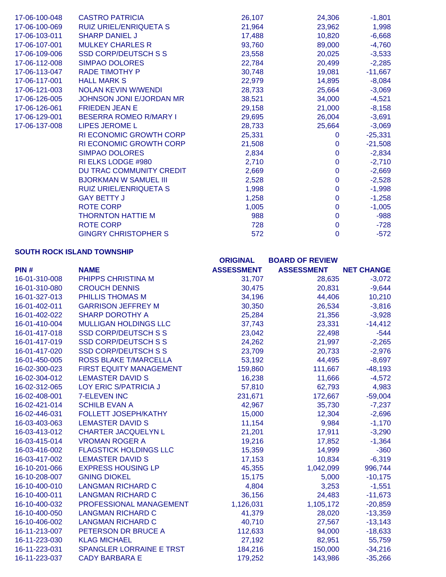| 17-06-100-048 | <b>CASTRO PATRICIA</b>         | 26,107 | 24,306       | $-1,801$  |
|---------------|--------------------------------|--------|--------------|-----------|
| 17-06-100-069 | RUIZ URIEL/ENRIQUETA S         | 21,964 | 23,962       | 1,998     |
| 17-06-103-011 | <b>SHARP DANIEL J</b>          | 17,488 | 10,820       | $-6,668$  |
| 17-06-107-001 | <b>MULKEY CHARLES R</b>        | 93,760 | 89,000       | $-4,760$  |
| 17-06-109-006 | <b>SSD CORP/DEUTSCH S S</b>    | 23,558 | 20,025       | $-3,533$  |
| 17-06-112-008 | <b>SIMPAO DOLORES</b>          | 22,784 | 20,499       | $-2,285$  |
| 17-06-113-047 | <b>RADE TIMOTHY P</b>          | 30,748 | 19,081       | $-11,667$ |
| 17-06-117-001 | <b>HALL MARK S</b>             | 22,979 | 14,895       | $-8,084$  |
| 17-06-121-003 | <b>NOLAN KEVIN W/WENDI</b>     | 28,733 | 25,664       | $-3,069$  |
| 17-06-126-005 | JOHNSON JONI E/JORDAN MR       | 38,521 | 34,000       | $-4,521$  |
| 17-06-126-061 | <b>FRIEDEN JEAN E</b>          | 29,158 | 21,000       | $-8,158$  |
| 17-06-129-001 | <b>BESERRA ROMEO R/MARY I</b>  | 29,695 | 26,004       | $-3,691$  |
| 17-06-137-008 | <b>LIPES JEROME L</b>          | 28,733 | 25,664       | $-3,069$  |
|               | <b>RI ECONOMIC GROWTH CORP</b> | 25,331 | $\Omega$     | $-25,331$ |
|               | <b>RI ECONOMIC GROWTH CORP</b> | 21,508 | $\Omega$     | $-21,508$ |
|               | <b>SIMPAO DOLORES</b>          | 2,834  | $\mathbf{0}$ | $-2,834$  |
|               | RI ELKS LODGE #980             | 2,710  | $\mathbf 0$  | $-2,710$  |
|               | DU TRAC COMMUNITY CREDIT       | 2,669  | $\mathbf{0}$ | $-2,669$  |
|               | <b>BJORKMAN W SAMUEL III</b>   | 2,528  | $\mathbf 0$  | $-2,528$  |
|               | RUIZ URIEL/ENRIQUETA S         | 1,998  | $\mathbf{0}$ | $-1,998$  |
|               | <b>GAY BETTY J</b>             | 1,258  | $\mathbf 0$  | $-1,258$  |
|               | <b>ROTE CORP</b>               | 1,005  | $\mathbf{0}$ | $-1,005$  |
|               | <b>THORNTON HATTIE M</b>       | 988    | $\mathbf 0$  | $-988$    |
|               | <b>ROTE CORP</b>               | 728    | $\mathbf 0$  | $-728$    |
|               | <b>GINGRY CHRISTOPHER S</b>    | 572    | $\mathbf 0$  | $-572$    |

# **SOUTH ROCK ISLAND TOWNSHIP**

|               |                                 | <b>ORIGINAL</b>   | <b>BOARD OF REVIEW</b> |                   |
|---------------|---------------------------------|-------------------|------------------------|-------------------|
| PIN#          | <b>NAME</b>                     | <b>ASSESSMENT</b> | <b>ASSESSMENT</b>      | <b>NET CHANGE</b> |
| 16-01-310-008 | PHIPPS CHRISTINA M              | 31,707            | 28,635                 | $-3,072$          |
| 16-01-310-080 | <b>CROUCH DENNIS</b>            | 30,475            | 20,831                 | $-9,644$          |
| 16-01-327-013 | PHILLIS THOMAS M                | 34,196            | 44,406                 | 10,210            |
| 16-01-402-011 | <b>GARRISON JEFFREY M</b>       | 30,350            | 26,534                 | $-3,816$          |
| 16-01-402-022 | <b>SHARP DOROTHY A</b>          | 25,284            | 21,356                 | $-3,928$          |
| 16-01-410-004 | <b>MULLIGAN HOLDINGS LLC</b>    | 37,743            | 23,331                 | $-14,412$         |
| 16-01-417-018 | <b>SSD CORP/DEUTSCH S S</b>     | 23,042            | 22,498                 | $-544$            |
| 16-01-417-019 | <b>SSD CORP/DEUTSCH S S</b>     | 24,262            | 21,997                 | $-2,265$          |
| 16-01-417-020 | <b>SSD CORP/DEUTSCH S S</b>     | 23,709            | 20,733                 | $-2,976$          |
| 16-01-450-005 | <b>ROSS BLAKE T/MARCELLA</b>    | 53,192            | 44,495                 | $-8,697$          |
| 16-02-300-023 | FIRST EQUITY MANAGEMENT         | 159,860           | 111,667                | $-48,193$         |
| 16-02-304-012 | <b>LEMASTER DAVID S</b>         | 16,238            | 11,666                 | $-4,572$          |
| 16-02-312-065 | LOY ERIC S/PATRICIA J           | 57,810            | 62,793                 | 4,983             |
| 16-02-408-001 | <b>7-ELEVEN INC</b>             | 231,671           | 172,667                | $-59,004$         |
| 16-02-421-014 | <b>SCHILB EVAN A</b>            | 42,967            | 35,730                 | $-7,237$          |
| 16-02-446-031 | FOLLETT JOSEPH/KATHY            | 15,000            | 12,304                 | $-2,696$          |
| 16-03-403-063 | <b>LEMASTER DAVID S</b>         | 11,154            | 9,984                  | $-1,170$          |
| 16-03-413-012 | <b>CHARTER JACQUELYN L</b>      | 21,201            | 17,911                 | $-3,290$          |
| 16-03-415-014 | <b>VROMAN ROGER A</b>           | 19,216            | 17,852                 | $-1,364$          |
| 16-03-416-002 | <b>FLAGSTICK HOLDINGS LLC</b>   | 15,359            | 14,999                 | $-360$            |
| 16-03-417-002 | <b>LEMASTER DAVID S</b>         | 17,153            | 10,834                 | $-6,319$          |
| 16-10-201-066 | <b>EXPRESS HOUSING LP</b>       | 45,355            | 1,042,099              | 996,744           |
| 16-10-208-007 | <b>GNING DIOKEL</b>             | 15,175            | 5,000                  | $-10,175$         |
| 16-10-400-010 | <b>LANGMAN RICHARD C</b>        | 4,804             | 3,253                  | $-1,551$          |
| 16-10-400-011 | <b>LANGMAN RICHARD C</b>        | 36,156            | 24,483                 | $-11,673$         |
| 16-10-400-032 | PROFESSIONAL MANAGEMENT         | 1,126,031         | 1,105,172              | $-20,859$         |
| 16-10-400-050 | <b>LANGMAN RICHARD C</b>        | 41,379            | 28,020                 | $-13,359$         |
| 16-10-406-002 | <b>LANGMAN RICHARD C</b>        | 40,710            | 27,567                 | $-13,143$         |
| 16-11-213-007 | PETERSON DR BRUCE A             | 112,633           | 94,000                 | $-18,633$         |
| 16-11-223-030 | <b>KLAG MICHAEL</b>             | 27,192            | 82,951                 | 55,759            |
| 16-11-223-031 | <b>SPANGLER LORRAINE E TRST</b> | 184,216           | 150,000                | $-34,216$         |
| 16-11-223-037 | <b>CADY BARBARA E</b>           | 179,252           | 143,986                | $-35,266$         |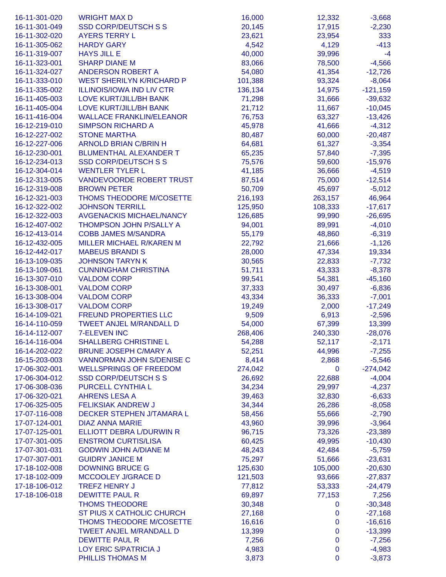| 16-11-301-020 | <b>WRIGHT MAX D</b>              | 16,000  | 12,332       | $-3,668$   |
|---------------|----------------------------------|---------|--------------|------------|
| 16-11-301-049 | <b>SSD CORP/DEUTSCH S S</b>      | 20,145  | 17,915       | $-2,230$   |
| 16-11-302-020 | <b>AYERS TERRY L</b>             | 23,621  | 23,954       | 333        |
| 16-11-305-062 | <b>HARDY GARY</b>                | 4,542   | 4,129        | $-413$     |
| 16-11-319-007 | <b>HAYS JILL E</b>               | 40,000  | 39,996       | $-4$       |
| 16-11-323-001 | <b>SHARP DIANE M</b>             | 83,066  | 78,500       | $-4,566$   |
| 16-11-324-027 | <b>ANDERSON ROBERT A</b>         | 54,080  | 41,354       | $-12,726$  |
| 16-11-333-010 | <b>WEST SHERILYN K/RICHARD P</b> | 101,388 | 93,324       | $-8,064$   |
| 16-11-335-002 | <b>ILLINOIS/IOWA IND LIV CTR</b> | 136,134 | 14,975       | $-121,159$ |
| 16-11-405-003 | LOVE KURT/JILL/BH BANK           | 71,298  | 31,666       | $-39,632$  |
| 16-11-405-004 | LOVE KURT/JILL/BH BANK           | 21,712  | 11,667       | $-10,045$  |
| 16-11-416-004 | <b>WALLACE FRANKLIN/ELEANOR</b>  |         | 63,327       |            |
| 16-12-219-010 | <b>SIMPSON RICHARD A</b>         | 76,753  |              | $-13,426$  |
|               |                                  | 45,978  | 41,666       | $-4,312$   |
| 16-12-227-002 | <b>STONE MARTHA</b>              | 80,487  | 60,000       | $-20,487$  |
| 16-12-227-006 | <b>ARNOLD BRIAN C/BRIN H</b>     | 64,681  | 61,327       | $-3,354$   |
| 16-12-230-001 | <b>BLUMENTHAL ALEXANDER T</b>    | 65,235  | 57,840       | $-7,395$   |
| 16-12-234-013 | <b>SSD CORP/DEUTSCH S S</b>      | 75,576  | 59,600       | $-15,976$  |
| 16-12-304-014 | <b>WENTLER TYLER L</b>           | 41,185  | 36,666       | $-4,519$   |
| 16-12-313-005 | <b>VANDEVOORDE ROBERT TRUST</b>  | 87,514  | 75,000       | $-12,514$  |
| 16-12-319-008 | <b>BROWN PETER</b>               | 50,709  | 45,697       | $-5,012$   |
| 16-12-321-003 | THOMS THEODORE M/COSETTE         | 216,193 | 263,157      | 46,964     |
| 16-12-322-002 | <b>JOHNSON TERRILL</b>           | 125,950 | 108,333      | $-17,617$  |
| 16-12-322-003 | <b>AVGENACKIS MICHAEL/NANCY</b>  | 126,685 | 99,990       | $-26,695$  |
| 16-12-407-002 | THOMPSON JOHN P/SALLY A          | 94,001  | 89,991       | $-4,010$   |
| 16-12-413-014 | <b>COBB JAMES M/SANDRA</b>       | 55,179  | 48,860       | $-6,319$   |
| 16-12-432-005 | <b>MILLER MICHAEL R/KAREN M</b>  | 22,792  | 21,666       | $-1,126$   |
| 16-12-442-017 | <b>MABEUS BRANDIS</b>            | 28,000  | 47,334       | 19,334     |
| 16-13-109-035 | <b>JOHNSON TARYN K</b>           | 30,565  | 22,833       | $-7,732$   |
| 16-13-109-061 | <b>CUNNINGHAM CHRISTINA</b>      | 51,711  | 43,333       | $-8,378$   |
| 16-13-307-010 | <b>VALDOM CORP</b>               | 99,541  | 54,381       | $-45,160$  |
| 16-13-308-001 | <b>VALDOM CORP</b>               | 37,333  | 30,497       | $-6,836$   |
| 16-13-308-004 | <b>VALDOM CORP</b>               | 43,334  | 36,333       | $-7,001$   |
| 16-13-308-017 | <b>VALDOM CORP</b>               | 19,249  | 2,000        | $-17,249$  |
| 16-14-109-021 | <b>FREUND PROPERTIES LLC</b>     | 9,509   | 6,913        | $-2,596$   |
| 16-14-110-059 | <b>TWEET ANJEL M/RANDALL D</b>   | 54,000  | 67,399       | 13,399     |
| 16-14-112-007 | <b>7-ELEVEN INC</b>              | 268,406 | 240,330      | $-28,076$  |
| 16-14-116-004 | <b>SHALLBERG CHRISTINE L</b>     | 54,288  | 52,117       | $-2,171$   |
| 16-14-202-022 | <b>BRUNE JOSEPH C/MARY A</b>     | 52,251  | 44,996       | $-7,255$   |
| 16-15-203-003 | <b>VANNORMAN JOHN S/DENISE C</b> | 8,414   | 2,868        | $-5,546$   |
| 17-06-302-001 | <b>WELLSPRINGS OF FREEDOM</b>    | 274,042 | $\mathbf{0}$ | $-274,042$ |
| 17-06-304-012 | <b>SSD CORP/DEUTSCH S S</b>      | 26,692  | 22,688       | $-4,004$   |
| 17-06-308-036 | PURCELL CYNTHIA L                | 34,234  | 29,997       | $-4,237$   |
| 17-06-320-021 | <b>AHRENS LESA A</b>             | 39,463  | 32,830       | $-6,633$   |
| 17-06-325-005 | <b>FELIKSIAK ANDREW J</b>        | 34,344  | 26,286       | $-8,058$   |
| 17-07-116-008 | DECKER STEPHEN J/TAMARA L        | 58,456  | 55,666       | $-2,790$   |
| 17-07-124-001 | <b>DIAZ ANNA MARIE</b>           | 43,960  | 39,996       | $-3,964$   |
| 17-07-125-001 | ELLIOTT DEBRA L/DURWIN R         | 96,715  | 73,326       | $-23,389$  |
| 17-07-301-005 | <b>ENSTROM CURTIS/LISA</b>       | 60,425  | 49,995       | $-10,430$  |
| 17-07-301-031 | <b>GODWIN JOHN A/DIANE M</b>     | 48,243  | 42,484       | $-5,759$   |
| 17-07-307-001 | <b>GUIDRY JANICE M</b>           | 75,297  | 51,666       | $-23,631$  |
| 17-18-102-008 | <b>DOWNING BRUCE G</b>           | 125,630 | 105,000      | $-20,630$  |
| 17-18-102-009 | MCCOOLEY J/GRACE D               | 121,503 | 93,666       | $-27,837$  |
| 17-18-106-012 | <b>TREFZ HENRY J</b>             | 77,812  | 53,333       | $-24,479$  |
| 17-18-106-018 | <b>DEWITTE PAUL R</b>            | 69,897  | 77,153       | 7,256      |
|               | <b>THOMS THEODORE</b>            | 30,348  | $\mathbf 0$  | $-30,348$  |
|               | ST PIUS X CATHOLIC CHURCH        | 27,168  | $\mathbf 0$  | $-27,168$  |
|               | THOMS THEODORE M/COSETTE         | 16,616  | $\mathbf 0$  | $-16,616$  |
|               | <b>TWEET ANJEL M/RANDALL D</b>   | 13,399  | 0            | $-13,399$  |
|               | <b>DEWITTE PAUL R</b>            | 7,256   | 0            | $-7,256$   |
|               | LOY ERIC S/PATRICIA J            | 4,983   | $\mathbf 0$  | $-4,983$   |
|               | PHILLIS THOMAS M                 |         |              |            |
|               |                                  | 3,873   | 0            | $-3,873$   |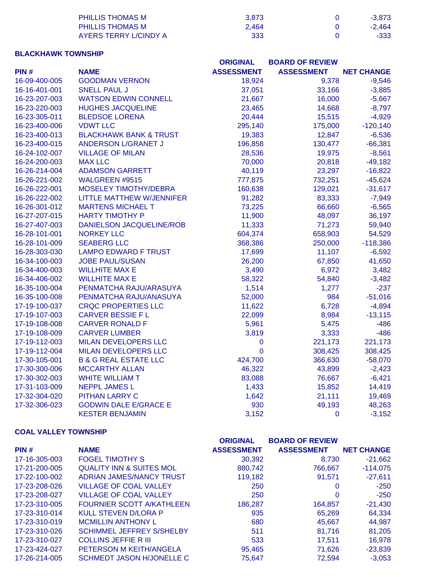| PHILLIS THOMAS M      | 3.873 | $-3.873$ |
|-----------------------|-------|----------|
| PHILLIS THOMAS M      | 2.464 | $-2.464$ |
| AYERS TERRY LICINDY A | 333   | $-333$   |

# **BLACKHAWK TOWNSHIP**

|               |                                   | <b>ORIGINAL</b>   | <b>BOARD OF REVIEW</b> |                   |
|---------------|-----------------------------------|-------------------|------------------------|-------------------|
| PIN#          | <b>NAME</b>                       | <b>ASSESSMENT</b> | <b>ASSESSMENT</b>      | <b>NET CHANGE</b> |
| 16-09-400-005 | <b>GOODMAN VERNON</b>             | 18,924            | 9,378                  | $-9,546$          |
| 16-16-401-001 | <b>SNELL PAUL J</b>               | 37,051            | 33,166                 | $-3,885$          |
| 16-23-207-003 | <b>WATSON EDWIN CONNELL</b>       | 21,667            | 16,000                 | $-5,667$          |
| 16-23-220-003 | <b>HUGHES JACQUELINE</b>          | 23,465            | 14,668                 | $-8,797$          |
| 16-23-305-011 | <b>BLEDSOE LORENA</b>             | 20,444            | 15,515                 | $-4,929$          |
| 16-23-400-006 | <b>VDWT LLC</b>                   | 295,140           | 175,000                | $-120,140$        |
| 16-23-400-013 | <b>BLACKHAWK BANK &amp; TRUST</b> | 19,383            | 12,847                 | $-6,536$          |
| 16-23-400-015 | ANDERSON L/GRANET J               | 196,858           | 130,477                | $-66,381$         |
| 16-24-102-007 | <b>VILLAGE OF MILAN</b>           | 28,536            | 19,975                 | $-8,561$          |
| 16-24-200-003 | <b>MAX LLC</b>                    | 70,000            | 20,818                 | $-49,182$         |
| 16-26-214-004 | <b>ADAMSON GARRETT</b>            | 40,119            | 23,297                 | $-16,822$         |
| 16-26-221-002 | WALGREEN #9515                    | 777,875           | 732,251                | $-45,624$         |
| 16-26-222-001 | <b>MOSELEY TIMOTHY/DEBRA</b>      | 160,638           | 129,021                | $-31,617$         |
| 16-26-222-002 | <b>LITTLE MATTHEW W/JENNIFER</b>  | 91,282            | 83,333                 | $-7,949$          |
| 16-26-301-012 | <b>MARTENS MICHAEL T</b>          | 73,225            | 66,660                 | $-6,565$          |
| 16-27-207-015 | <b>HARTY TIMOTHY P</b>            | 11,900            | 48,097                 | 36,197            |
| 16-27-407-003 | <b>DANIELSON JACQUELINE/ROB</b>   | 11,333            | 71,273                 | 59,940            |
| 16-28-101-001 | <b>NORKEY LLC</b>                 | 604,374           | 658,903                | 54,529            |
| 16-28-101-009 | <b>SEABERG LLC</b>                | 368,386           | 250,000                | $-118,386$        |
| 16-28-303-030 | <b>LAMPO EDWARD F TRUST</b>       | 17,699            | 11,107                 | $-6,592$          |
| 16-34-100-003 | <b>JOBE PAUL/SUSAN</b>            | 26,200            | 67,850                 | 41,650            |
| 16-34-400-003 | <b>WILLHITE MAX E</b>             | 3,490             | 6,972                  | 3,482             |
| 16-34-406-002 | <b>WILLHITE MAX E</b>             | 58,322            | 54,840                 | $-3,482$          |
| 16-35-100-004 | PENMATCHA RAJU/ARASUYA            | 1,514             | 1,277                  | $-237$            |
| 16-35-100-008 | PENMATCHA RAJU/ANASUYA            | 52,000            | 984                    | $-51,016$         |
| 17-19-100-037 | <b>CRQC PROPERTIES LLC</b>        | 11,622            | 6,728                  | $-4,894$          |
| 17-19-107-003 | <b>CARVER BESSIE F L</b>          | 22,099            | 8,984                  | $-13,115$         |
| 17-19-108-008 | <b>CARVER RONALD F</b>            | 5,961             | 5,475                  | $-486$            |
| 17-19-108-009 | <b>CARVER LUMBER</b>              | 3,819             | 3,333                  | $-486$            |
| 17-19-112-003 | <b>MILAN DEVELOPERS LLC</b>       | $\mathbf 0$       | 221,173                | 221,173           |
| 17-19-112-004 | <b>MILAN DEVELOPERS LLC</b>       | $\mathbf 0$       | 308,425                | 308,425           |
| 17-30-105-001 | <b>B &amp; G REAL ESTATE LLC</b>  | 424,700           | 366,630                | $-58,070$         |
| 17-30-300-006 | <b>MCCARTHY ALLAN</b>             | 46,322            | 43,899                 | $-2,423$          |
| 17-30-302-003 | <b>WHITE WILLIAM T</b>            | 83,088            | 76,667                 | $-6,421$          |
| 17-31-103-009 | <b>NEPPL JAMES L</b>              | 1,433             | 15,852                 | 14,419            |
| 17-32-304-020 | <b>PITHAN LARRY C</b>             | 1,642             | 21,111                 | 19,469            |
| 17-32-306-023 | <b>GODWIN DALE E/GRACE E</b>      | 930               | 49,193                 | 48,263            |
|               | <b>KESTER BENJAMIN</b>            | 3,152             | $\mathbf 0$            | $-3,152$          |

### **COAL VALLEY TOWNSHIP**

|               |                                     | <b>ORIGINAL</b>   | <b>BOARD OF REVIEW</b> |                   |
|---------------|-------------------------------------|-------------------|------------------------|-------------------|
| PIN#          | <b>NAME</b>                         | <b>ASSESSMENT</b> | <b>ASSESSMENT</b>      | <b>NET CHANGE</b> |
| 17-16-305-003 | <b>FOGEL TIMOTHY S</b>              | 30,392            | 8,730                  | $-21,662$         |
| 17-21-200-005 | <b>QUALITY INN &amp; SUITES MOL</b> | 880,742           | 766,667                | $-114,075$        |
| 17-22-100-002 | ADRIAN JAMES/NANCY TRUST            | 119.182           | 91,571                 | $-27,611$         |
| 17-23-208-026 | <b>VILLAGE OF COAL VALLEY</b>       | 250               | 0                      | $-250$            |
| 17-23-208-027 | <b>VILLAGE OF COAL VALLEY</b>       | 250               | 0                      | $-250$            |
| 17-23-310-005 | <b>FOURNIER SCOTT A/KATHLEEN</b>    | 186.287           | 164,857                | $-21,430$         |
| 17-23-310-014 | KULL STEVEN D/LORA P                | 935               | 65,269                 | 64,334            |
| 17-23-310-019 | <b>MCMILLIN ANTHONY L</b>           | 680               | 45.667                 | 44,987            |
| 17-23-310-026 | <b>SCHIMMEL JEFFREY S/SHELBY</b>    | 511               | 81.716                 | 81,205            |
| 17-23-310-027 | <b>COLLINS JEFFIE R III</b>         | 533               | 17.511                 | 16,978            |
| 17-23-424-027 | PETERSON M KEITH/ANGELA             | 95,465            | 71,626                 | $-23,839$         |
| 17-26-214-005 | SCHMEDT JASON H/JONELLE C           | 75.647            | 72.594                 | $-3,053$          |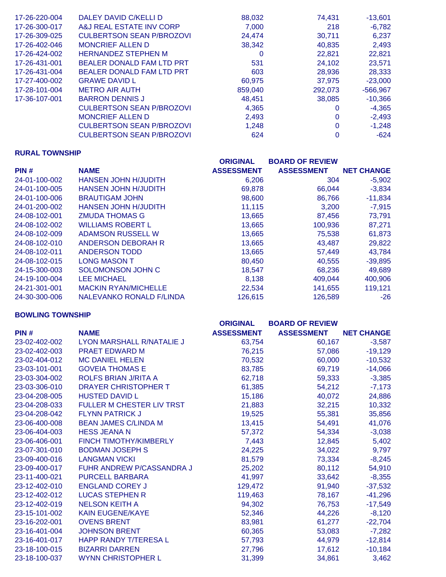| 17-26-220-004 | DALEY DAVID C/KELLI D            | 88,032  | 74,431  | $-13,601$  |
|---------------|----------------------------------|---------|---------|------------|
| 17-26-300-017 | A&J REAL ESTATE INV CORP         | 7,000   | 218     | $-6,782$   |
| 17-26-309-025 | <b>CULBERTSON SEAN P/BROZOVI</b> | 24,474  | 30,711  | 6,237      |
| 17-26-402-046 | <b>MONCRIEF ALLEN D</b>          | 38,342  | 40,835  | 2,493      |
| 17-26-424-002 | <b>HERNANDEZ STEPHEN M</b>       | 0       | 22.821  | 22,821     |
| 17-26-431-001 | <b>BEALER DONALD FAM LTD PRT</b> | 531     | 24,102  | 23,571     |
| 17-26-431-004 | BEALER DONALD FAM LTD PRT        | 603     | 28,936  | 28,333     |
| 17-27-400-002 | <b>GRAWE DAVID L</b>             | 60.975  | 37.975  | $-23.000$  |
| 17-28-101-004 | <b>METRO AIR AUTH</b>            | 859,040 | 292,073 | $-566,967$ |
| 17-36-107-001 | <b>BARRON DENNIS J</b>           | 48,451  | 38.085  | $-10,366$  |
|               | <b>CULBERTSON SEAN P/BROZOVI</b> | 4,365   | 0       | $-4,365$   |
|               | <b>MONCRIEF ALLEN D</b>          | 2,493   | 0       | $-2,493$   |
|               | <b>CULBERTSON SEAN P/BROZOVI</b> | 1,248   | 0       | $-1,248$   |
|               | <b>CULBERTSON SEAN P/BROZOVI</b> | 624     | 0       | $-624$     |

## **RURAL TOWNSHIP**

|               |                                 | <b>ORIGINAL</b>   | <b>BOARD OF REVIEW</b> |                   |
|---------------|---------------------------------|-------------------|------------------------|-------------------|
| PIN#          | <b>NAME</b>                     | <b>ASSESSMENT</b> | <b>ASSESSMENT</b>      | <b>NET CHANGE</b> |
| 24-01-100-002 | HANSEN JOHN H/JUDITH            | 6,206             | 304                    | $-5,902$          |
| 24-01-100-005 | <b>HANSEN JOHN H/JUDITH</b>     | 69,878            | 66.044                 | $-3,834$          |
| 24-01-100-006 | <b>BRAUTIGAM JOHN</b>           | 98,600            | 86,766                 | $-11,834$         |
| 24-01-200-002 | HANSEN JOHN H/JUDITH            | 11,115            | 3,200                  | $-7,915$          |
| 24-08-102-001 | <b>ZMUDA THOMAS G</b>           | 13,665            | 87,456                 | 73,791            |
| 24-08-102-002 | <b>WILLIAMS ROBERT L</b>        | 13,665            | 100,936                | 87,271            |
| 24-08-102-009 | ADAMSON RUSSELL W               | 13,665            | 75,538                 | 61,873            |
| 24-08-102-010 | ANDERSON DEBORAH R              | 13,665            | 43.487                 | 29,822            |
| 24-08-102-011 | ANDERSON TODD                   | 13,665            | 57,449                 | 43,784            |
| 24-08-102-015 | <b>LONG MASON T</b>             | 80,450            | 40,555                 | $-39,895$         |
| 24-15-300-003 | <b>SOLOMONSON JOHN C</b>        | 18,547            | 68,236                 | 49,689            |
| 24-19-100-004 | <b>LEE MICHAEL</b>              | 8,138             | 409.044                | 400,906           |
| 24-21-301-001 | <b>MACKIN RYAN/MICHELLE</b>     | 22,534            | 141,655                | 119,121           |
| 24-30-300-006 | <b>NALEVANKO RONALD F/LINDA</b> | 126,615           | 126,589                | $-26$             |

### **BOWLING TOWNSHIP**

|               |                                  | <b>ORIGINAL</b>   | <b>BOARD OF REVIEW</b> |                   |
|---------------|----------------------------------|-------------------|------------------------|-------------------|
| PIN#          | <b>NAME</b>                      | <b>ASSESSMENT</b> | <b>ASSESSMENT</b>      | <b>NET CHANGE</b> |
| 23-02-402-002 | LYON MARSHALL R/NATALIE J        | 63,754            | 60,167                 | $-3,587$          |
| 23-02-402-003 | <b>PRAET EDWARD M</b>            | 76,215            | 57,086                 | $-19,129$         |
| 23-02-404-012 | <b>MC DANIEL HELEN</b>           | 70,532            | 60,000                 | $-10,532$         |
| 23-03-101-001 | <b>GOVEIA THOMAS E</b>           | 83,785            | 69,719                 | $-14,066$         |
| 23-03-304-002 | <b>ROLFS BRIAN J/RITA A</b>      | 62,718            | 59,333                 | $-3,385$          |
| 23-03-306-010 | DRAYER CHRISTOPHER T             | 61,385            | 54,212                 | $-7,173$          |
| 23-04-208-005 | <b>HUSTED DAVID L</b>            | 15,186            | 40,072                 | 24,886            |
| 23-04-208-033 | <b>FULLER M CHESTER LIV TRST</b> | 21,883            | 32,215                 | 10,332            |
| 23-04-208-042 | <b>FLYNN PATRICK J</b>           | 19,525            | 55,381                 | 35,856            |
| 23-06-400-008 | <b>BEAN JAMES C/LINDA M</b>      | 13,415            | 54,491                 | 41,076            |
| 23-06-404-003 | <b>HESS JEANA N</b>              | 57,372            | 54,334                 | $-3,038$          |
| 23-06-406-001 | <b>FINCH TIMOTHY/KIMBERLY</b>    | 7,443             | 12,845                 | 5,402             |
| 23-07-301-010 | <b>BODMAN JOSEPH S</b>           | 24,225            | 34,022                 | 9,797             |
| 23-09-400-016 | <b>LANGMAN VICKI</b>             | 81,579            | 73,334                 | $-8,245$          |
| 23-09-400-017 | FUHR ANDREW P/CASSANDRA J        | 25,202            | 80,112                 | 54,910            |
| 23-11-400-021 | <b>PURCELL BARBARA</b>           | 41,997            | 33,642                 | $-8,355$          |
| 23-12-402-010 | <b>ENGLAND COREY J</b>           | 129,472           | 91,940                 | $-37,532$         |
| 23-12-402-012 | <b>LUCAS STEPHEN R</b>           | 119,463           | 78,167                 | $-41,296$         |
| 23-12-402-019 | <b>NELSON KEITH A</b>            | 94,302            | 76,753                 | $-17,549$         |
| 23-15-101-002 | <b>KAIN EUGENE/KAYE</b>          | 52,346            | 44,226                 | $-8,120$          |
| 23-16-202-001 | <b>OVENS BRENT</b>               | 83,981            | 61,277                 | $-22,704$         |
| 23-16-401-004 | <b>JOHNSON BRENT</b>             | 60,365            | 53,083                 | $-7,282$          |
| 23-16-401-017 | <b>HAPP RANDY T/TERESA L</b>     | 57,793            | 44,979                 | $-12,814$         |
| 23-18-100-015 | <b>BIZARRI DARREN</b>            | 27,796            | 17,612                 | $-10,184$         |
| 23-18-100-037 | <b>WYNN CHRISTOPHER L</b>        | 31,399            | 34,861                 | 3,462             |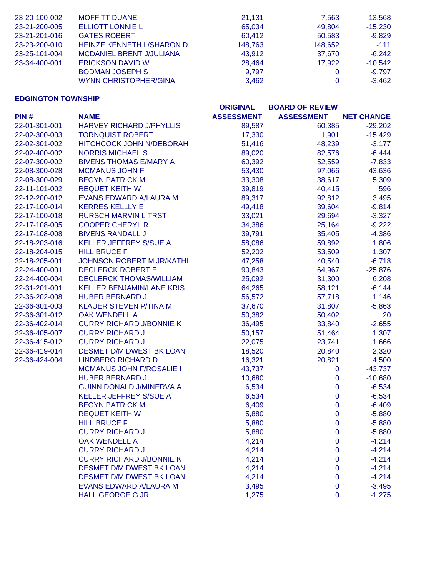| 23-20-100-002 | <b>MOFFITT DUANE</b>             | 21,131  | 7,563   | $-13,568$ |
|---------------|----------------------------------|---------|---------|-----------|
| 23-21-200-005 | <b>ELLIOTT LONNIE L</b>          | 65,034  | 49.804  | $-15,230$ |
| 23-21-201-016 | <b>GATES ROBERT</b>              | 60,412  | 50,583  | $-9,829$  |
| 23-23-200-010 | <b>HEINZE KENNETH L/SHARON D</b> | 148.763 | 148,652 | $-111$    |
| 23-25-101-004 | <b>MCDANIEL BRENT J/JULIANA</b>  | 43.912  | 37.670  | $-6.242$  |
| 23-34-400-001 | <b>ERICKSON DAVID W</b>          | 28.464  | 17,922  | $-10,542$ |
|               | <b>BODMAN JOSEPH S</b>           | 9.797   | 0       | $-9.797$  |
|               | <b>WYNN CHRISTOPHER/GINA</b>     | 3.462   | 0       | $-3.462$  |

## **EDGINGTON TOWNSHIP**

|               |                                  | <b>ORIGINAL</b>   | <b>BOARD OF REVIEW</b> |                   |
|---------------|----------------------------------|-------------------|------------------------|-------------------|
| PIN#          | <b>NAME</b>                      | <b>ASSESSMENT</b> | <b>ASSESSMENT</b>      | <b>NET CHANGE</b> |
| 22-01-301-001 | <b>HARVEY RICHARD J/PHYLLIS</b>  | 89,587            | 60,385                 | $-29,202$         |
| 22-02-300-003 | <b>TORNQUIST ROBERT</b>          | 17,330            | 1,901                  | $-15,429$         |
| 22-02-301-002 | HITCHCOCK JOHN N/DEBORAH         | 51,416            | 48,239                 | $-3,177$          |
| 22-02-400-002 | <b>NORRIS MICHAEL S</b>          | 89,020            | 82,576                 | $-6,444$          |
| 22-07-300-002 | <b>BIVENS THOMAS E/MARY A</b>    | 60,392            | 52,559                 | $-7,833$          |
| 22-08-300-028 | <b>MCMANUS JOHN F</b>            | 53,430            | 97,066                 | 43,636            |
| 22-08-300-029 | <b>BEGYN PATRICK M</b>           | 33,308            | 38,617                 | 5,309             |
| 22-11-101-002 | <b>REQUET KEITH W</b>            | 39,819            | 40,415                 | 596               |
| 22-12-200-012 | EVANS EDWARD A/LAURA M           | 89,317            | 92,812                 | 3,495             |
| 22-17-100-014 | <b>KERRES KELLLY E</b>           | 49,418            | 39,604                 | $-9,814$          |
| 22-17-100-018 | <b>RURSCH MARVIN L TRST</b>      | 33,021            | 29,694                 | $-3,327$          |
| 22-17-108-005 | <b>COOPER CHERYL R</b>           | 34,386            | 25,164                 | $-9,222$          |
| 22-17-108-008 | <b>BIVENS RANDALL J</b>          | 39,791            | 35,405                 | $-4,386$          |
| 22-18-203-016 | KELLER JEFFREY S/SUE A           | 58,086            | 59,892                 | 1,806             |
| 22-18-204-015 | <b>HILL BRUCE F</b>              | 52,202            | 53,509                 | 1,307             |
| 22-18-205-001 | JOHNSON ROBERT M JR/KATHL        | 47,258            | 40,540                 | $-6,718$          |
| 22-24-400-001 | <b>DECLERCK ROBERT E</b>         | 90,843            | 64,967                 | $-25,876$         |
| 22-24-400-004 | <b>DECLERCK THOMAS/WILLIAM</b>   | 25,092            | 31,300                 | 6,208             |
| 22-31-201-001 | <b>KELLER BENJAMIN/LANE KRIS</b> | 64,265            | 58,121                 | $-6,144$          |
| 22-36-202-008 | <b>HUBER BERNARD J</b>           | 56,572            | 57,718                 | 1,146             |
| 22-36-301-003 | <b>KLAUER STEVEN P/TINA M</b>    | 37,670            | 31,807                 | $-5,863$          |
| 22-36-301-012 | <b>OAK WENDELL A</b>             | 50,382            | 50,402                 | 20                |
| 22-36-402-014 | <b>CURRY RICHARD J/BONNIE K</b>  | 36,495            | 33,840                 | $-2,655$          |
| 22-36-405-007 | <b>CURRY RICHARD J</b>           | 50,157            | 51,464                 | 1,307             |
| 22-36-415-012 | <b>CURRY RICHARD J</b>           | 22,075            | 23,741                 | 1,666             |
| 22-36-419-014 | DESMET D/MIDWEST BK LOAN         | 18,520            | 20,840                 | 2,320             |
| 22-36-424-004 | <b>LINDBERG RICHARD D</b>        | 16,321            | 20,821                 | 4,500             |
|               | <b>MCMANUS JOHN F/ROSALIE I</b>  | 43,737            | $\mathbf 0$            | $-43,737$         |
|               | <b>HUBER BERNARD J</b>           | 10,680            | $\mathbf 0$            | $-10,680$         |
|               | <b>GUINN DONALD J/MINERVA A</b>  | 6,534             | $\mathbf 0$            | $-6,534$          |
|               | KELLER JEFFREY S/SUE A           | 6,534             | $\mathbf 0$            | $-6,534$          |
|               | <b>BEGYN PATRICK M</b>           | 6,409             | $\bf 0$                | $-6,409$          |
|               | <b>REQUET KEITH W</b>            | 5,880             | $\mathbf 0$            | $-5,880$          |
|               | <b>HILL BRUCE F</b>              | 5,880             | $\bf 0$                | $-5,880$          |
|               | <b>CURRY RICHARD J</b>           | 5,880             | $\pmb{0}$              | $-5,880$          |
|               | <b>OAK WENDELL A</b>             | 4,214             | $\mathbf 0$            | $-4,214$          |
|               | <b>CURRY RICHARD J</b>           | 4,214             | $\pmb{0}$              | $-4,214$          |
|               | <b>CURRY RICHARD J/BONNIE K</b>  | 4,214             | $\mathbf 0$            | $-4,214$          |
|               | <b>DESMET D/MIDWEST BK LOAN</b>  | 4,214             | $\mathbf 0$            | $-4,214$          |
|               | <b>DESMET D/MIDWEST BK LOAN</b>  | 4,214             | $\mathbf 0$            | $-4,214$          |
|               | EVANS EDWARD A/LAURA M           | 3,495             | $\mathbf 0$            | $-3,495$          |
|               | <b>HALL GEORGE G JR</b>          | 1,275             | $\pmb{0}$              | $-1,275$          |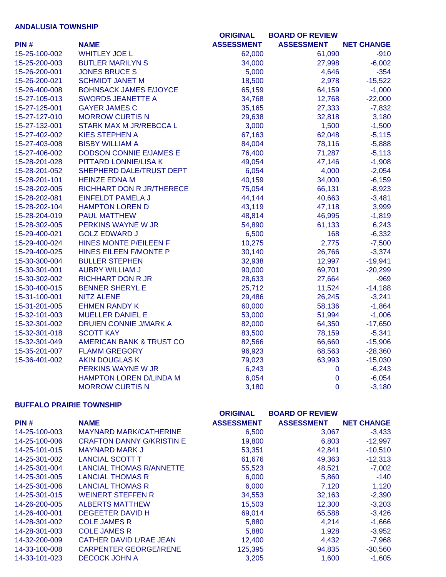## **ANDALUSIA TOWNSHIP**

|               |                                     | <b>ORIGINAL</b>   | <b>BOARD OF REVIEW</b> |                   |
|---------------|-------------------------------------|-------------------|------------------------|-------------------|
| PIN#          | <b>NAME</b>                         | <b>ASSESSMENT</b> | <b>ASSESSMENT</b>      | <b>NET CHANGE</b> |
| 15-25-100-002 | <b>WHITLEY JOE L</b>                | 62,000            | 61,090                 | $-910$            |
| 15-25-200-003 | <b>BUTLER MARILYN S</b>             | 34,000            | 27,998                 | $-6,002$          |
| 15-26-200-001 | <b>JONES BRUCE S</b>                | 5,000             | 4,646                  | $-354$            |
| 15-26-200-021 | <b>SCHMIDT JANET M</b>              | 18,500            | 2,978                  | $-15,522$         |
| 15-26-400-008 | <b>BOHNSACK JAMES E/JOYCE</b>       | 65,159            | 64,159                 | $-1,000$          |
| 15-27-105-013 | <b>SWORDS JEANETTE A</b>            | 34,768            | 12,768                 | $-22,000$         |
| 15-27-125-001 | <b>GAYER JAMES C</b>                | 35,165            | 27,333                 | $-7,832$          |
| 15-27-127-010 | <b>MORROW CURTIS N</b>              | 29,638            | 32,818                 | 3,180             |
| 15-27-132-001 | <b>STARK MAX M JR/REBCCA L</b>      | 3,000             | 1,500                  | $-1,500$          |
| 15-27-402-002 | <b>KIES STEPHEN A</b>               | 67,163            | 62,048                 | $-5,115$          |
| 15-27-403-008 | <b>BISBY WILLIAM A</b>              | 84,004            | 78,116                 | $-5,888$          |
| 15-27-406-002 | <b>DODSON CONNIE E/JAMES E</b>      | 76,400            | 71,287                 | $-5,113$          |
| 15-28-201-028 | PITTARD LONNIE/LISA K               | 49,054            | 47,146                 | $-1,908$          |
| 15-28-201-052 | SHEPHERD DALE/TRUST DEPT            | 6,054             | 4,000                  | $-2,054$          |
| 15-28-201-101 | <b>HEINZE EDNA M</b>                | 40,159            | 34,000                 | $-6,159$          |
| 15-28-202-005 | RICHHART DON R JR/THERECE           | 75,054            | 66,131                 | $-8,923$          |
| 15-28-202-081 | <b>EINFELDT PAMELA J</b>            | 44,144            | 40,663                 | $-3,481$          |
| 15-28-202-104 | <b>HAMPTON LOREN D</b>              | 43,119            | 47,118                 | 3,999             |
| 15-28-204-019 | <b>PAUL MATTHEW</b>                 | 48,814            | 46,995                 | $-1,819$          |
| 15-28-302-005 | PERKINS WAYNE W JR                  | 54,890            | 61,133                 | 6,243             |
| 15-29-400-021 | <b>GOLZ EDWARD J</b>                | 6,500             | 168                    | $-6,332$          |
| 15-29-400-024 | HINES MONTE P/EILEEN F              | 10,275            | 2,775                  | $-7,500$          |
| 15-29-400-025 | HINES EILEEN F/MONTE P              | 30,140            | 26,766                 | $-3,374$          |
| 15-30-300-004 | <b>BULLER STEPHEN</b>               | 32,938            | 12,997                 | $-19,941$         |
| 15-30-301-001 | <b>AUBRY WILLIAM J</b>              | 90,000            | 69,701                 | $-20,299$         |
| 15-30-302-002 | <b>RICHHART DON R JR</b>            | 28,633            | 27,664                 | $-969$            |
| 15-30-400-015 | <b>BENNER SHERYL E</b>              | 25,712            | 11,524                 | $-14,188$         |
| 15-31-100-001 | <b>NITZ ALENE</b>                   | 29,486            | 26,245                 | $-3,241$          |
| 15-31-201-005 | <b>EHMEN RANDY K</b>                | 60,000            | 58,136                 | $-1,864$          |
| 15-32-101-003 | <b>MUELLER DANIEL E</b>             | 53,000            | 51,994                 | $-1,006$          |
| 15-32-301-002 | <b>DRUIEN CONNIE J/MARK A</b>       | 82,000            | 64,350                 | $-17,650$         |
| 15-32-301-018 | <b>SCOTT KAY</b>                    | 83,500            | 78,159                 | $-5,341$          |
| 15-32-301-049 | <b>AMERICAN BANK &amp; TRUST CO</b> | 82,566            | 66,660                 | $-15,906$         |
| 15-35-201-007 | <b>FLAMM GREGORY</b>                | 96,923            | 68,563                 | $-28,360$         |
| 15-36-401-002 | <b>AKIN DOUGLAS K</b>               | 79,023            | 63,993                 | $-15,030$         |
|               | PERKINS WAYNE W JR                  | 6,243             | $\pmb{0}$              | $-6,243$          |
|               | HAMPTON LOREN D/LINDA M             | 6,054             | $\mathbf 0$            | $-6,054$          |
|               | <b>MORROW CURTIS N</b>              | 3,180             | $\overline{0}$         | $-3,180$          |

### **BUFFALO PRAIRIE TOWNSHIP**

|               |                                  | <b>ORIGINAL</b>   | <b>BOARD OF REVIEW</b> |                   |
|---------------|----------------------------------|-------------------|------------------------|-------------------|
| PIN#          | <b>NAME</b>                      | <b>ASSESSMENT</b> | <b>ASSESSMENT</b>      | <b>NET CHANGE</b> |
| 14-25-100-003 | <b>MAYNARD MARK/CATHERINE</b>    | 6,500             | 3,067                  | $-3,433$          |
| 14-25-100-006 | <b>CRAFTON DANNY G/KRISTIN E</b> | 19,800            | 6,803                  | $-12,997$         |
| 14-25-101-015 | <b>MAYNARD MARK J</b>            | 53,351            | 42,841                 | $-10,510$         |
| 14-25-301-002 | <b>LANCIAL SCOTT T</b>           | 61,676            | 49,363                 | $-12,313$         |
| 14-25-301-004 | <b>LANCIAL THOMAS R/ANNETTE</b>  | 55,523            | 48,521                 | $-7,002$          |
| 14-25-301-005 | <b>LANCIAL THOMAS R</b>          | 6,000             | 5,860                  | $-140$            |
| 14-25-301-006 | <b>LANCIAL THOMAS R</b>          | 6,000             | 7,120                  | 1,120             |
| 14-25-301-015 | <b>WEINERT STEFFEN R</b>         | 34,553            | 32,163                 | $-2,390$          |
| 14-26-200-005 | <b>ALBERTS MATTHEW</b>           | 15,503            | 12,300                 | $-3,203$          |
| 14-26-400-001 | DEGEETER DAVID H                 | 69,014            | 65,588                 | $-3,426$          |
| 14-28-301-002 | <b>COLE JAMES R</b>              | 5,880             | 4,214                  | $-1,666$          |
| 14-28-301-003 | <b>COLE JAMES R</b>              | 5,880             | 1,928                  | $-3,952$          |
| 14-32-200-009 | CATHER DAVID L/RAE JEAN          | 12,400            | 4,432                  | $-7,968$          |
| 14-33-100-008 | <b>CARPENTER GEORGE/IRENE</b>    | 125,395           | 94,835                 | $-30,560$         |
| 14-33-101-023 | <b>DECOCK JOHN A</b>             | 3,205             | 1.600                  | $-1,605$          |